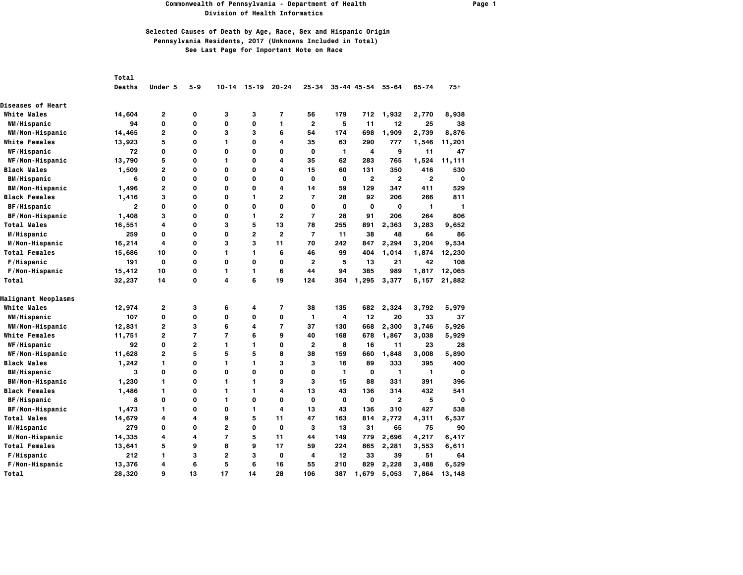### **Commonwealth of Pennsylvania - Department of Health Page 1 Division of Health Informatics**

|                          | Total         |                |                |                |           |                          |                |              |                     |              |              |             |
|--------------------------|---------------|----------------|----------------|----------------|-----------|--------------------------|----------------|--------------|---------------------|--------------|--------------|-------------|
|                          | <b>Deaths</b> | Under 5        | 5-9            | $10 - 14$      | $15 - 19$ | $20 - 24$                | $25 - 34$      |              | $35 - 44$ $45 - 54$ | $55 - 64$    | $65 - 74$    | $75+$       |
| <b>Diseases of Heart</b> |               |                |                |                |           |                          |                |              |                     |              |              |             |
| <b>White Males</b>       | 14,604        | 2              | 0              | з              | з         | 7                        | 56             | 179          | 712                 | 1,932        | 2,770        | 8,938       |
| WM/Hispanic              | 94            | 0              | 0              | 0              | O         | 1                        | $\overline{2}$ | 5            | 11                  | 12           | 25           | 38          |
| WM/Non-Hispanic          | 14,465        | 2              | 0              | з              | з         | 6                        | 54             | 174          | 698                 | 1,909        | 2,739        | 8,876       |
| <b>White Females</b>     | 13,923        | 5              | 0              | 1              | 0         | 4                        | 35             | 63           | 290                 | 777          | 1,546        | 11,201      |
| WF/Hispanic              | 72            | 0              | 0              | $\mathbf 0$    | 0         | 0                        | $\mathbf 0$    | 1            | 4                   | 9            | 11           | 47          |
| WF/Non-Hispanic          | 13,790        | 5              | 0              | $\mathbf{1}$   | 0         | 4                        | 35             | 62           | 283                 | 765          | 1,524        | 11,111      |
| <b>Black Males</b>       | 1,509         | 2              | 0              | 0              | 0         | 4                        | 15             | 60           | 131                 | 350          | 416          | 530         |
| <b>BM/Hispanic</b>       | 6             | 0              | 0              | 0              | 0         | 0                        | 0              | 0            | $\overline{2}$      | $\mathbf{2}$ | $\mathbf{2}$ | O           |
| <b>BM/Non-Hispanic</b>   | 1,496         | 2              | 0              | $\mathbf{o}$   | 0         | 4                        | 14             | 59           | 129                 | 347          | 411          | 529         |
| <b>Black Females</b>     | 1,416         | 3              | 0              | $\mathbf 0$    | 1         | $\overline{2}$           | $\overline{7}$ | 28           | 92                  | 206          | 266          | 811         |
| BF/Hispanic              | $\mathbf{2}$  | 0              | 0              | $\mathbf{o}$   | 0         | 0                        | 0              | 0            | $\mathbf{o}$        | 0            | 1            | 1           |
| BF/Non-Hispanic          | 1,408         | 3              | 0              | 0              | 1         | $\overline{2}$           | $\overline{7}$ | 28           | 91                  | 206          | 264          | 806         |
| <b>Total Males</b>       | 16,551        | 4              | 0              | з              | 5         | 13                       | 78             | 255          | 891                 | 2,363        | 3,283        | 9,652       |
| M/Hispanic               | 259           | 0              | 0              | 0              | 2         | $\overline{2}$           | $\overline{7}$ | 11           | 38                  | 48           | 64           | 86          |
| M/Non-Hispanic           | 16,214        | 4              | 0              | з              | 3         | 11                       | 70             | 242          | 847                 | 2,294        | 3,204        | 9,534       |
| <b>Total Females</b>     | 15,686        | 10             | 0              | $\mathbf{1}$   | 1         | 6                        | 46             | 99           | 404                 | 1,014        | 1,874        | 12,230      |
| F/Hispanic               | 191           | $\mathbf o$    | 0              | $\mathbf 0$    | 0         | 0                        | $\overline{2}$ | 5            | 13                  | 21           | 42           | 108         |
| F/Non-Hispanic           | 15,412        | 10             | 0              | 1              | 1.        | 6                        | 44             | 94           | 385                 | 989          | 1,817        | 12,065      |
| Total                    | 32,237        | 14             | 0              | 4              | 6         | 19                       | 124            | 354          | 1,295               | 3,377        | 5,157        | 21,882      |
| Malignant Neoplasms      |               |                |                |                |           |                          |                |              |                     |              |              |             |
| <b>White Males</b>       | 12,974        | 2              | 3              | 6              | 4         | $\overline{\phantom{a}}$ | 38             | 135          | 682                 | 2,324        | 3,792        | 5,979       |
| WM/Hispanic              | 107           | 0              | 0              | $\mathbf 0$    | 0         | 0                        | 1              | 4            | 12                  | 20           | 33           | 37          |
| WM/Non-Hispanic          | 12,831        | $\overline{2}$ | 3              | 6              | 4         | $\overline{7}$           | 37             | 130          | 668                 | 2,300        | 3,746        | 5,926       |
| <b>White Females</b>     | 11,751        | 2              | $\overline{7}$ | $\overline{7}$ | 6         | 9                        | 40             | 168          | 678                 | 1,867        | 3,038        | 5,929       |
| WF/Hispanic              | 92            | 0              | $\overline{2}$ | $\mathbf{1}$   | 1         | 0                        | $\mathbf{2}$   | 8            | 16                  | 11           | 23           | 28          |
| WF/Non-Hispanic          | 11,628        | $\overline{2}$ | 5              | 5              | 5         | 8                        | 38             | 159          | 660                 | 1,848        | 3,008        | 5,890       |
| <b>Black Males</b>       | 1,242         | 1              | 0              | 1              | 1         | 3                        | з              | 16           | 89                  | 333          | 395          | 400         |
| <b>BM/Hispanic</b>       | 3             | 0              | 0              | $\mathbf 0$    | 0         | 0                        | 0              | $\mathbf{1}$ | $\mathbf{o}$        | 1            | 1            | $\mathbf 0$ |
| <b>BM/Non-Hispanic</b>   | 1,230         | 1              | 0              | $\mathbf{1}$   | 1         | 3                        | 3              | 15           | 88                  | 331          | 391          | 396         |
| <b>Black Females</b>     | 1,486         | 1              | O              | 1              | 1         | 4                        | 13             | 43           | 136                 | 314          | 432          | 541         |
| <b>BF/Hispanic</b>       | 8             | 0              | 0              | 1              | 0         | 0                        | 0              | 0            | 0                   | $\mathbf{2}$ | 5            | $\mathbf 0$ |
| <b>BF/Non-Hispanic</b>   | 1,473         | 1              | 0              | $\mathbf{o}$   | 1         | 4                        | 13             | 43           | 136                 | 310          | 427          | 538         |
| <b>Total Males</b>       | 14,679        | 4              | 4              | 9              | 5         | 11                       | 47             | 163          | 814                 | 2,772        | 4,311        | 6,537       |
| M/Hispanic               | 279           | 0              | 0              | $\mathbf{2}$   | 0         | $\mathbf 0$              | з              | 13           | 31                  | 65           | 75           | 90          |
| M/Non-Hispanic           | 14,335        | 4              | 4              | $\overline{7}$ | 5         | 11                       | 44             | 149          | 779                 | 2,696        | 4,217        | 6,417       |
| <b>Total Females</b>     | 13,641        | 5              | 9              | 8              | 9         | 17                       | 59             | 224          | 865                 | 2,281        | 3,553        | 6,611       |
| F/Hispanic               | 212           | 1              | 3              | $\overline{2}$ | з         | O                        | 4              | 12           | 33                  | 39           | 51           | 64          |
| F/Non-Hispanic           | 13,376        | 4              | 6              | 5              | 6         | 16                       | 55             | 210          | 829                 | 2,228        | 3,488        | 6,529       |
| Total                    | 28,320        | 9              | 13             | 17             | 14        | 28                       | 106            | 387          | 1,679               | 5,053        | 7,864        | 13,148      |
|                          |               |                |                |                |           |                          |                |              |                     |              |              |             |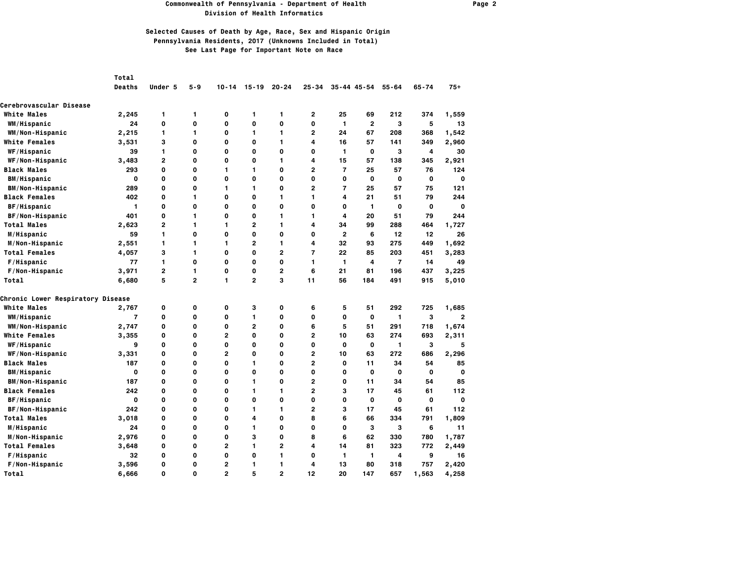### **Commonwealth of Pennsylvania - Department of Health Page 2 Division of Health Informatics**

|                                          | Total          |                |                |                |                         |                |                         |                         |                 |                         |              |                |
|------------------------------------------|----------------|----------------|----------------|----------------|-------------------------|----------------|-------------------------|-------------------------|-----------------|-------------------------|--------------|----------------|
|                                          | <b>Deaths</b>  | Under 5        | $5 - 9$        | $10 - 14$      | $15 - 19$               | $20 - 24$      | $25 - 34$               |                         | $35 - 44$ 45-54 | $55 - 64$               | $65 - 74$    | $75+$          |
| Cerebrovascular Disease                  |                |                |                |                |                         |                |                         |                         |                 |                         |              |                |
| <b>White Males</b>                       | 2,245          | 1              | 1              | 0              | 1                       | 1              | 2                       | 25                      | 69              | 212                     | 374          | 1,559          |
| WM/Hispanic                              | 24             | $\mathbf{o}$   | $\mathbf 0$    | O              | O                       | $\mathbf{o}$   | $\mathbf 0$             | $\mathbf{1}$            | $\overline{2}$  | 3                       | 5            | 13             |
| WM/Non-Hispanic                          | 2,215          | 1              | 1              | 0              | 1                       | 1              | $\overline{2}$          | 24                      | 67              | 208                     | 368          | 1,542          |
| <b>White Females</b>                     | 3,531          | 3              | 0              | 0              | $\mathbf 0$             | 1              | 4                       | 16                      | 57              | 141                     | 349          | 2,960          |
| WF/Hispanic                              | 39             | $\mathbf{1}$   | O              | 0              | O                       | $\mathbf{o}$   | O                       | $\mathbf{1}$            | O               | 3                       | 4            | 30             |
| WF/Non-Hispanic                          | 3,483          | $\mathbf{2}$   | 0              | 0              | 0                       | 1              | 4                       | 15                      | 57              | 138                     | 345          | 2,921          |
| <b>Black Males</b>                       | 293            | $\mathbf 0$    | $\mathbf 0$    | 1              | 1                       | $\mathbf 0$    | $\overline{2}$          | $\overline{7}$          | 25              | 57                      | 76           | 124            |
| <b>BM/Hispanic</b>                       | 0              | 0              | O              | 0              | 0                       | 0              | $\mathbf 0$             | 0                       | 0               | $\mathbf 0$             | 0            | 0              |
| <b>BM/Non-Hispanic</b>                   | 289            | $\mathbf{o}$   | $\mathbf 0$    | 1              | 1                       | 0              | $\overline{2}$          | $\overline{7}$          | 25              | 57                      | 75           | 121            |
| <b>Black Females</b>                     | 402            | $\mathbf 0$    | 1              | 0              | $\mathbf 0$             | 1              | 1                       | $\overline{\mathbf{4}}$ | 21              | 51                      | 79           | 244            |
| BF/Hispanic                              | 1              | $\mathbf{o}$   | $\Omega$       | O              | O                       | $\Omega$       | O                       | 0                       | 1               | $\mathbf 0$             | $\mathbf{o}$ | $\mathbf{o}$   |
| BF/Non-Hispanic                          | 401            | $\mathbf{o}$   | 1              | 0              | $\mathbf 0$             | 1              | 1                       | 4                       | 20              | 51                      | 79           | 244            |
| <b>Total Males</b>                       | 2,623          | $\overline{2}$ | 1              | 1              | $\overline{2}$          | 1              | 4                       | 34                      | 99              | 288                     | 464          | 1,727          |
| M/Hispanic                               | 59             | 1              | $\mathbf 0$    | 0              | O                       | $\mathbf{o}$   | 0                       | $\mathbf{2}$            | 6               | 12                      | 12           | 26             |
| M/Non-Hispanic                           | 2,551          | 1              | 1              | 1              | 2                       | 1              | 4                       | 32                      | 93              | 275                     | 449          | 1,692          |
| <b>Total Females</b>                     | 4,057          | 3              | 1              | $\mathbf 0$    | $\mathbf{o}$            | $\overline{2}$ | $\overline{7}$          | 22                      | 85              | 203                     | 451          | 3,283          |
| F/Hispanic                               | 77             | 1              | $\mathbf 0$    | 0              | O                       | 0              | 1                       | 1                       | 4               | $\overline{7}$          | 14           | 49             |
| F/Non-Hispanic                           | 3,971          | $\overline{2}$ | 1              | O              | O                       | 2              | 6                       | 21                      | 81              | 196                     | 437          | 3,225          |
| Total                                    | 6,680          | 5              | $\overline{2}$ | 1              | $\overline{\mathbf{c}}$ | 3              | 11                      | 56                      | 184             | 491                     | 915          | 5,010          |
| <b>Chronic Lower Respiratory Disease</b> |                |                |                |                |                         |                |                         |                         |                 |                         |              |                |
| <b>White Males</b>                       | 2,767          | 0              | 0              | 0              | 3                       | 0              | 6                       | 5                       | 51              | 292                     | 725          | 1,685          |
| WM/Hispanic                              | $\overline{7}$ | $\mathbf{o}$   | O              | 0              | 1                       | $\mathbf{o}$   | O                       | $\mathbf{o}$            | O               | $\mathbf{1}$            | з            | $\overline{2}$ |
| WM/Non-Hispanic                          | 2,747          | 0              | 0              | 0              | 2                       | 0              | 6                       | 5                       | 51              | 291                     | 718          | 1,674          |
| <b>White Females</b>                     | 3,355          | $\mathbf 0$    | $\mathbf 0$    | 2              | O                       | 0              | $\overline{2}$          | 10                      | 63              | 274                     | 693          | 2,311          |
| WF/Hispanic                              | 9              | $\mathbf{o}$   | $\mathbf 0$    | 0              | O                       | $\Omega$       | O                       | $\mathbf{o}$            | O               | $\mathbf{1}$            | 3            | 5              |
| WF/Non-Hispanic                          | 3,331          | $\mathbf{o}$   | $\mathbf 0$    | $\overline{2}$ | O                       | 0              | $\overline{2}$          | 10                      | 63              | 272                     | 686          | 2,296          |
| <b>Black Males</b>                       | 187            | $\mathbf 0$    | 0              | 0              | 1                       | $\mathbf{o}$   | $\overline{2}$          | $\mathbf 0$             | 11              | 34                      | 54           | 85             |
| <b>BM/Hispanic</b>                       | 0              | $\mathbf{o}$   | $\mathbf 0$    | 0              | O                       | 0              | O                       | 0                       | 0               | $\mathbf 0$             | 0            | $\mathbf 0$    |
| <b>BM/Non-Hispanic</b>                   | 187            | $\mathbf 0$    | O              | 0              | 1                       | 0              | $\overline{2}$          | 0                       | 11              | 34                      | 54           | 85             |
| <b>Black Females</b>                     | 242            | $\mathbf 0$    | 0              | 0              | 1                       | 1              | $\overline{\mathbf{c}}$ | 3                       | 17              | 45                      | 61           | 112            |
| BF/Hispanic                              | $\mathbf 0$    | $\mathbf{o}$   | $\mathbf 0$    | O              | O                       | 0              | O                       | $\mathbf{o}$            | $\mathbf 0$     | $\mathbf 0$             | $\mathbf 0$  | $\mathbf{o}$   |
| BF/Non-Hispanic                          | 242            | 0              | O              | 0              | 1                       | 1              | $\overline{2}$          | 3                       | 17              | 45                      | 61           | 112            |
| <b>Total Males</b>                       | 3,018          | $\mathbf 0$    | $\mathbf 0$    | O              | 4                       | 0              | 8                       | 6                       | 66              | 334                     | 791          | 1,809          |
| M/Hispanic                               | 24             | $\mathbf{o}$   | O              | 0              | 1                       | 0              | O                       | $\mathbf{o}$            | 3               | 3                       | 6            | 11             |
| M/Non-Hispanic                           | 2,976          | $\mathbf{o}$   | $\mathbf 0$    | O              | 3                       | 0              | 8                       | 6                       | 62              | 330                     | 780          | 1,787          |
| <b>Total Females</b>                     | 3,648          | $\mathbf 0$    | $\mathbf 0$    | $\overline{2}$ | 1                       | $\overline{2}$ | 4                       | 14                      | 81              | 323                     | 772          | 2,449          |
| F/Hispanic                               | 32             | $\mathbf{o}$   | $\mathbf 0$    | 0              | O                       | 1              | 0                       | $\mathbf{1}$            | 1               | $\overline{\mathbf{4}}$ | 9            | 16             |
| F/Non-Hispanic                           | 3,596          | 0              | O              | 2              | 1                       | 1              | 4                       | 13                      | 80              | 318                     | 757          | 2,420          |
| Total                                    | 6,666          | $\Omega$       | $\Omega$       | $\overline{2}$ | 5                       | $\overline{2}$ | 12                      | 20                      | 147             | 657                     | 1,563        | 4,258          |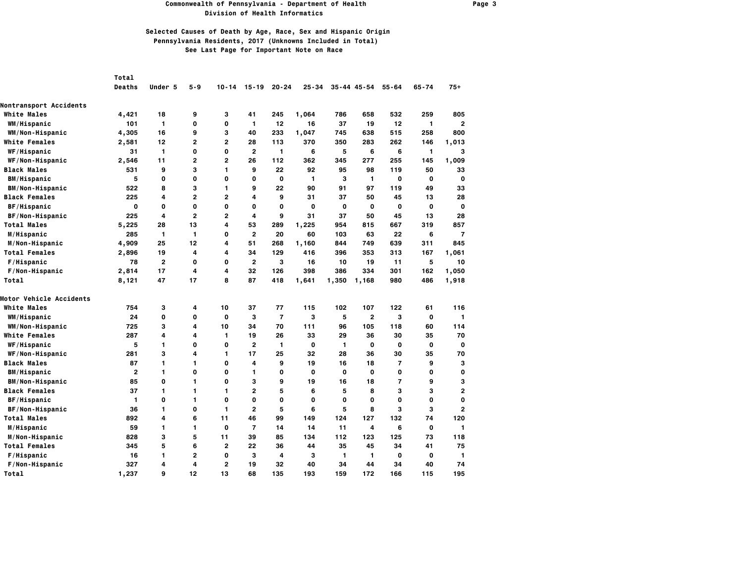#### **Commonwealth of Pennsylvania - Department of Health Page 3 Division of Health Informatics**

|                               | <b>Total</b>   |              |                |                |                |                |           |             |                 |                |             |                         |
|-------------------------------|----------------|--------------|----------------|----------------|----------------|----------------|-----------|-------------|-----------------|----------------|-------------|-------------------------|
|                               | <b>Deaths</b>  | Under 5      | $5 - 9$        | $10 - 14$      | $15 - 19$      | $20 - 24$      | $25 - 34$ |             | $35 - 44$ 45-54 | $55 - 64$      | $65 - 74$   | $75+$                   |
| <b>Nontransport Accidents</b> |                |              |                |                |                |                |           |             |                 |                |             |                         |
| <b>White Males</b>            | 4,421          | 18           | 9              | з              | 41             | 245            | 1,064     | 786         | 658             | 532            | 259         | 805                     |
| WM/Hispanic                   | 101            | 1            | 0              | 0              | 1              | 12             | 16        | 37          | 19              | 12             | 1           | $\overline{2}$          |
| WM/Non-Hispanic               | 4,305          | 16           | 9              | 3              | 40             | 233            | 1,047     | 745         | 638             | 515            | 258         | 800                     |
| <b>White Females</b>          | 2,581          | 12           | $\overline{2}$ | $\overline{2}$ | 28             | 113            | 370       | 350         | 283             | 262            | 146         | 1,013                   |
| WF/Hispanic                   | 31             | 1            | O              | 0              | $\overline{2}$ | 1              | 6         | 5           | 6               | 6              | 1           | 3                       |
| WF/Non-Hispanic               | 2,546          | 11           | 2              | $\overline{2}$ | 26             | 112            | 362       | 345         | 277             | 255            | 145         | 1,009                   |
| <b>Black Males</b>            | 531            | 9            | 3              | 1              | 9              | 22             | 92        | 95          | 98              | 119            | 50          | 33                      |
| <b>BM/Hispanic</b>            | 5              | $\mathbf 0$  | $\mathbf 0$    | 0              | 0              | $\mathbf{o}$   | 1         | 3           | 1               | 0              | $\mathbf 0$ | $\mathbf 0$             |
| BM/Non-Hispanic               | 522            | 8            | 3              | 1              | 9              | 22             | 90        | 91          | 97              | 119            | 49          | 33                      |
| <b>Black Females</b>          | 225            | 4            | $\overline{2}$ | $\overline{2}$ | 4              | 9              | 31        | 37          | 50              | 45             | 13          | 28                      |
| BF/Hispanic                   | $\mathbf 0$    | $\mathbf 0$  | 0              | 0              | 0              | $\mathbf 0$    | 0         | $\mathbf 0$ | $\mathbf 0$     | 0              | $\mathbf 0$ | $\mathbf 0$             |
| <b>BF/Non-Hispanic</b>        | 225            | 4            | 2              | $\mathbf{2}$   | 4              | 9              | 31        | 37          | 50              | 45             | 13          | 28                      |
| <b>Total Males</b>            | 5,225          | 28           | 13             | 4              | 53             | 289            | 1,225     | 954         | 815             | 667            | 319         | 857                     |
| M/Hispanic                    | 285            | 1            | 1              | 0              | $\overline{2}$ | 20             | 60        | 103         | 63              | 22             | 6           | $\overline{7}$          |
| M/Non-Hispanic                | 4,909          | 25           | 12             | 4              | 51             | 268            | 1,160     | 844         | 749             | 639            | 311         | 845                     |
| <b>Total Females</b>          | 2,896          | 19           | 4              | 4              | 34             | 129            | 416       | 396         | 353             | 313            | 167         | 1,061                   |
| F/Hispanic                    | 78             | $\mathbf{2}$ | $\mathbf 0$    | 0              | $\overline{2}$ | 3              | 16        | 10          | 19              | 11             | 5           | 10                      |
| F/Non-Hispanic                | 2,814          | 17           | 4              | 4              | 32             | 126            | 398       | 386         | 334             | 301            | 162         | 1,050                   |
| Total                         | 8,121          | 47           | 17             | 8              | 87             | 418            | 1,641     | 1,350       | 1,168           | 980            | 486         | 1,918                   |
| Motor Vehicle Accidents       |                |              |                |                |                |                |           |             |                 |                |             |                         |
| <b>White Males</b>            | 754            | з            | 4              | 10             | 37             | 77             | 115       | 102         | 107             | 122            | 61          | 116                     |
| <b>WM/Hispanic</b>            | 24             | 0            | 0              | 0              | з              | $\overline{7}$ | з         | 5           | $\mathbf{2}$    | з              | 0           | $\mathbf{1}$            |
| WM/Non-Hispanic               | 725            | 3            | 4              | 10             | 34             | 70             | 111       | 96          | 105             | 118            | 60          | 114                     |
| <b>White Females</b>          | 287            | 4            | 4              | 1              | 19             | 26             | 33        | 29          | 36              | 30             | 35          | 70                      |
| <b>WF/Hispanic</b>            | 5              | 1            | 0              | 0              | $\overline{2}$ | 1              | 0         | 1           | $\mathbf 0$     | 0              | 0           | $\mathbf 0$             |
| WF/Non-Hispanic               | 281            | 3            | 4              | 1              | 17             | 25             | 32        | 28          | 36              | 30             | 35          | 70                      |
| <b>Black Males</b>            | 87             | 1            | 1              | 0              | 4              | 9              | 19        | 16          | 18              | $\overline{7}$ | 9           | 3                       |
| <b>BM/Hispanic</b>            | $\overline{2}$ | 1            | 0              | 0              | 1              | 0              | 0         | 0           | $\Omega$        | 0              | O           | 0                       |
| <b>BM/Non-Hispanic</b>        | 85             | 0            | 1              | 0              | 3              | 9              | 19        | 16          | 18              | $\overline{7}$ | 9           | 3                       |
| <b>Black Females</b>          | 37             | 1            | 1              | 1              | 2              | 5              | 6         | 5           | 8               | 3              | 3           | $\overline{\mathbf{c}}$ |
| BF/Hispanic                   | 1              | $\mathbf 0$  | 1              | 0              | 0              | $\mathbf 0$    | 0         | 0           | 0               | 0              | 0           | $\mathbf 0$             |
| BF/Non-Hispanic               | 36             | 1            | 0              | 1              | $\overline{2}$ | 5              | 6         | 5           | 8               | 3              | 3           | $\overline{2}$          |
| <b>Total Males</b>            | 892            | 4            | 6              | 11             | 46             | 99             | 149       | 124         | 127             | 132            | 74          | 120                     |
| M/Hispanic                    | 59             | 1            | 1              | 0              | $\overline{7}$ | 14             | 14        | 11          | 4               | 6              | $\mathbf 0$ | $\mathbf{1}$            |
| M/Non-Hispanic                | 828            | 3            | 5              | 11             | 39             | 85             | 134       | 112         | 123             | 125            | 73          | 118                     |
| <b>Total Females</b>          | 345            | 5            | 6              | $\overline{2}$ | 22             | 36             | 44        | 35          | 45              | 34             | 41          | 75                      |
| F/Hispanic                    | 16             | 1            | 2              | 0              | 3              | 4              | з         | 1           | 1               | 0              | 0           | $\mathbf{1}$            |
| F/Non-Hispanic                | 327            | 4            | 4              | $\overline{2}$ | 19             | 32             | 40        | 34          | 44              | 34             | 40          | 74                      |
| Total                         | 1,237          | 9            | 12             | 13             | 68             | 135            | 193       | 159         | 172             | 166            | 115         | 195                     |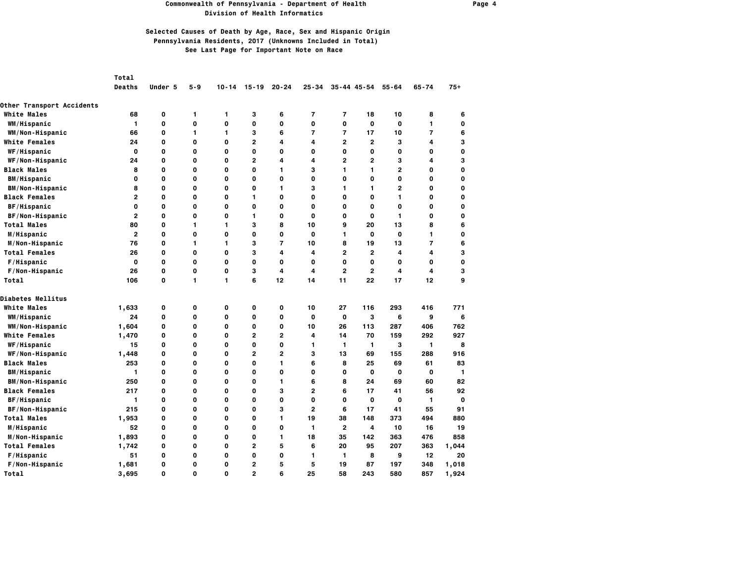### **Commonwealth of Pennsylvania - Department of Health Page 4 Division of Health Informatics**

|                                                        | Total<br><b>Deaths</b> | Under 5     | $5 - 9$          | $10 - 14$ | $15 - 19$               | $20 - 24$      | $25 - 34$      |                | $35 - 44$ 45-54 | $55 - 64$      | $65 - 74$      | $75+$       |
|--------------------------------------------------------|------------------------|-------------|------------------|-----------|-------------------------|----------------|----------------|----------------|-----------------|----------------|----------------|-------------|
|                                                        |                        |             |                  |           |                         |                |                |                |                 |                |                |             |
| <b>Other Transport Accidents</b><br><b>White Males</b> | 68                     | 0           |                  |           | з                       | 6              | 7              | 7              | 18              | 10             |                | 6           |
|                                                        | $\mathbf{1}$           | 0           | 1<br>$\mathbf 0$ | 1<br>0    | $\mathbf 0$             | 0              | $\mathbf 0$    | 0              | $\mathbf 0$     | 0              | 8<br>1         | 0           |
| WM/Hispanic                                            |                        | 0           | 1                | 1         | з                       | 6              | $\overline{7}$ | 7              | 17              | 10             | $\overline{7}$ | 6           |
| WM/Non-Hispanic                                        | 66<br>24               | 0           | O                | 0         | $\mathbf{2}$            | 4              | 4              | $\mathbf{2}$   | $\overline{2}$  | 3              | 4              | 3           |
| <b>White Females</b>                                   |                        |             |                  |           |                         |                |                |                |                 |                |                |             |
| <b>WF/Hispanic</b>                                     | 0                      | 0<br>O      | 0                | 0         | 0                       | 0              | 0              | 0              | O               | 0<br>3         | 0              | 0           |
| WF/Non-Hispanic                                        | 24                     |             | 0                | 0         | $\overline{2}$          | 4              | 4              | $\overline{2}$ | $\overline{2}$  |                | 4              | 3           |
| <b>Black Males</b>                                     | 8                      | 0           | 0                | 0         | 0                       | 1              | 3              | 1              | 1               | $\overline{2}$ | 0              | 0           |
| <b>BM/Hispanic</b>                                     | 0                      | 0           | 0                | 0         | 0                       | 0              | $\mathbf 0$    | 0              | 0               | 0              | 0              | $\mathbf 0$ |
| <b>BM/Non-Hispanic</b>                                 | 8                      | 0           | 0                | 0         | 0                       | 1              | з              | 1              | 1               | 2              | 0              | 0           |
| <b>Black Females</b>                                   | $\mathbf{2}$           | 0           | 0                | 0         | 1                       | 0              | $\mathbf 0$    | 0              | 0               | 1              | 0              | 0           |
| BF/Hispanic                                            | $\mathbf 0$            | $\mathbf 0$ | $\mathbf 0$      | 0         | $\mathbf 0$             | 0              | $\mathbf 0$    | 0              | $\mathbf 0$     | 0              | $\mathbf 0$    | 0           |
| BF/Non-Hispanic                                        | $\overline{2}$         | $\mathbf 0$ | $\mathbf 0$      | 0         | 1                       | 0              | $\mathbf 0$    | 0              | $\mathbf 0$     | 1              | $\mathbf 0$    | 0           |
| <b>Total Males</b>                                     | 80                     | 0           | 1                | 1         | 3                       | 8              | 10             | 9              | 20              | 13             | 8              | 6           |
| M/Hispanic                                             | $\overline{2}$         | $\mathbf 0$ | 0                | 0         | 0                       | 0              | $\mathbf 0$    | 1              | $\mathbf 0$     | $\mathbf 0$    | 1              | 0           |
| M/Non-Hispanic                                         | 76                     | 0           | 1                | 1         | 3                       | 7              | 10             | 8              | 19              | 13             | $\overline{7}$ | 6           |
| <b>Total Females</b>                                   | 26                     | O           | 0                | O         | 3                       | 4              | 4              | $\overline{2}$ | $\overline{2}$  | 4              | 4              | 3           |
| F/Hispanic                                             | $\mathbf{o}$           | 0           | 0                | 0         | $\mathbf 0$             | 0              | 0              | 0              | $\mathbf 0$     | 0              | $\mathbf 0$    | 0           |
| F/Non-Hispanic                                         | 26                     | 0           | 0                | 0         | 3                       | 4              | 4              | $\overline{2}$ | $\mathbf{2}$    | 4              | 4              | 3           |
| Total                                                  | 106                    | 0           | 1                | 1         | 6                       | 12             | 14             | 11             | 22              | 17             | 12             | 9           |
| <b>Diabetes Mellitus</b>                               |                        |             |                  |           |                         |                |                |                |                 |                |                |             |
| <b>White Males</b>                                     | 1,633                  | 0           | 0                | 0         | $\mathbf 0$             | 0              | 10             | 27             | 116             | 293            | 416            | 771         |
| WM/Hispanic                                            | 24                     | 0           | $\mathbf 0$      | 0         | 0                       | 0              | 0              | $\mathbf{o}$   | 3               | 6              | 9              | 6           |
| WM/Non-Hispanic                                        | 1,604                  | 0           | 0                | 0         | 0                       | 0              | 10             | 26             | 113             | 287            | 406            | 762         |
| <b>White Females</b>                                   | 1,470                  | 0           | 0                | 0         | $\mathbf{2}$            | $\overline{2}$ | 4              | 14             | 70              | 159            | 292            | 927         |
| <b>WF/Hispanic</b>                                     | 15                     | O           | 0                | 0         | $\mathbf 0$             | O              | 1              | 1              | $\mathbf{1}$    | 3              | 1              | 8           |
| WF/Non-Hispanic                                        | 1,448                  | O           | 0                | 0         | $\overline{2}$          | $\overline{2}$ | 3              | 13             | 69              | 155            | 288            | 916         |
| <b>Black Males</b>                                     | 253                    | 0           | 0                | 0         | $\mathbf 0$             | 1              | 6              | 8              | 25              | 69             | 61             | 83          |
| <b>BM/Hispanic</b>                                     | 1                      | 0           | 0                | 0         | 0                       | 0              | 0              | 0              | 0               | 0              | 0              | 1           |
| <b>BM/Non-Hispanic</b>                                 | 250                    | 0           | 0                | 0         | 0                       | 1              | 6              | 8              | 24              | 69             | 60             | 82          |
| <b>Black Females</b>                                   | 217                    | 0           | 0                | 0         | $\mathbf 0$             | 3              | $\mathbf{2}$   | 6              | 17              | 41             | 56             | 92          |
| BF/Hispanic                                            | 1                      | 0           | 0                | O         | $\mathbf 0$             | 0              | $\mathbf 0$    | 0              | $\mathbf{o}$    | 0              | 1              | $\mathbf 0$ |
| BF/Non-Hispanic                                        | 215                    | 0           | 0                | 0         | 0                       | 3              | $\mathbf{2}$   | 6              | 17              | 41             | 55             | 91          |
| <b>Total Males</b>                                     | 1,953                  | 0           | 0                | 0         | 0                       | 1              | 19             | 38             | 148             | 373            | 494            | 880         |
| M/Hispanic                                             | 52                     | 0           | 0                | 0         | 0                       | 0              | 1              | $\overline{2}$ | 4               | 10             | 16             | 19          |
| M/Non-Hispanic                                         | 1,893                  | O           | $\mathbf 0$      | O         | $\mathbf 0$             | 1              | 18             | 35             | 142             | 363            | 476            | 858         |
| <b>Total Females</b>                                   | 1,742                  | 0           | 0                | 0         | $\overline{\mathbf{c}}$ | 5              | 6              | 20             | 95              | 207            | 363            | 1,044       |
| F/Hispanic                                             | 51                     | 0           | 0                | 0         | 0                       | 0              | 1              | 1              | 8               | 9              | 12             | 20          |
| F/Non-Hispanic                                         | 1,681                  | 0           | $\mathbf 0$      | 0         | $\overline{2}$          | 5              | 5              | 19             | 87              | 197            | 348            | 1,018       |
| Total                                                  | 3,695                  | 0           | $\Omega$         | O         | $\overline{2}$          | 6              | 25             | 58             | 243             | 580            | 857            | 1,924       |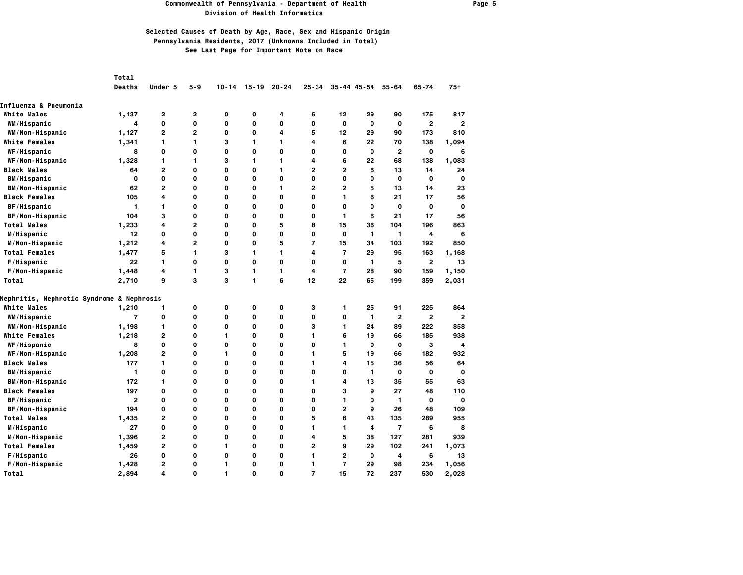### **Commonwealth of Pennsylvania - Department of Health Page 5 Division of Health Informatics**

|                                                      | Total          |                |                |           |             |              |                |                |                 |                |                |                |
|------------------------------------------------------|----------------|----------------|----------------|-----------|-------------|--------------|----------------|----------------|-----------------|----------------|----------------|----------------|
|                                                      | <b>Deaths</b>  | Under 5        | $5 - 9$        | $10 - 14$ | $15 - 19$   | $20 - 24$    | $25 - 34$      |                | $35 - 44$ 45-54 | $55 - 64$      | $65 - 74$      | $75+$          |
| Influenza & Pneumonia                                |                |                |                |           |             |              |                |                |                 |                |                |                |
| <b>White Males</b>                                   | 1,137          | 2              | $\overline{2}$ | 0         | $\mathbf 0$ | 4            | 6              | 12             | 29              | 90             | 175            | 817            |
| WM/Hispanic                                          | 4              | $\mathbf 0$    | O              | O         | $\mathbf 0$ | 0            | O              | $\mathbf{o}$   | $\mathbf 0$     | $\mathbf{o}$   | $\overline{2}$ | $\overline{2}$ |
| WM/Non-Hispanic                                      | 1,127          | $\overline{2}$ | $\overline{2}$ | 0         | 0           | 4            | 5              | 12             | 29              | 90             | 173            | 810            |
| <b>White Females</b>                                 | 1,341          | 1              | 1              | 3         | 1           | 1            | 4              | 6              | 22              | 70             | 138            | 1,094          |
| WF/Hispanic                                          | 8              | $\mathbf{o}$   | 0              | 0         | $\mathbf 0$ | $\mathbf{o}$ | 0              | 0              | $\mathbf 0$     | $\overline{2}$ | $\mathbf{o}$   | 6              |
| WF/Non-Hispanic                                      | 1,328          | 1              | 1              | 3         | 1           | 1            | 4              | 6              | 22              | 68             | 138            | 1,083          |
| <b>Black Males</b>                                   | 64             | $\overline{2}$ | 0              | 0         | 0           | 1            | 2              | $\overline{2}$ | 6               | 13             | 14             | 24             |
| <b>BM/Hispanic</b>                                   | $\mathbf 0$    | $\mathbf{o}$   | 0              | 0         | $\mathbf 0$ | $\mathbf 0$  | 0              | 0              | 0               | 0              | $\mathbf{o}$   | $\mathbf{o}$   |
| <b>BM/Non-Hispanic</b>                               | 62             | $\overline{2}$ | 0              | 0         | 0           | 1            | 2              | $\overline{2}$ | 5               | 13             | 14             | 23             |
| <b>Black Females</b>                                 | 105            | 4              | 0              | 0         | $\mathbf 0$ | $\mathbf 0$  | O              | 1              | 6               | 21             | 17             | 56             |
| BF/Hispanic                                          | 1              | 1              | 0              | O         | $\mathbf 0$ | $\Omega$     | 0              | $\Omega$       | 0               | 0              | $\mathbf 0$    | $\mathbf 0$    |
| BF/Non-Hispanic                                      | 104            | 3              | 0              | 0         | 0           | $\mathbf{o}$ | 0              | 1.             | 6               | 21             | 17             | 56             |
| <b>Total Males</b>                                   | 1,233          | 4              | $\overline{2}$ | 0         | 0           | 5            | 8              | 15             | 36              | 104            | 196            | 863            |
| M/Hispanic                                           | 12             | 0              | 0              | 0         | $\mathbf 0$ | 0            | 0              | 0              | 1               | $\mathbf{1}$   | 4              | 6              |
| M/Non-Hispanic                                       | 1,212          | 4              | $\mathbf{2}$   | 0         | 0           | 5            | 7              | 15             | 34              | 103            | 192            | 850            |
| <b>Total Females</b>                                 | 1,477          | 5              | 1              | 3         | 1           | 1            | 4              | $\overline{7}$ | 29              | 95             | 163            | 1,168          |
| F/Hispanic                                           | 22             | $\mathbf{1}$   | 0              | O         | $\mathbf 0$ | $\mathbf 0$  | 0              | 0              | 1               | 5              | $\overline{2}$ | 13             |
| F/Non-Hispanic                                       | 1,448          | 4              | 1              | 3         | 1           | 1            | 4              | $\overline{7}$ | 28              | 90             | 159            | 1,150          |
| Total                                                | 2,710          | 9              | 3              | 3         | 1           | 6            | 12             | 22             | 65              | 199            | 359            | 2,031          |
| <b>Nephritis, Nephrotic Syndrome &amp; Nephrosis</b> |                |                |                |           |             |              |                |                |                 |                |                |                |
| <b>White Males</b>                                   | 1,210          | 1              | 0              | 0         | 0           | 0            | 3              | 1              | 25              | 91             | 225            | 864            |
| WM/Hispanic                                          | $\overline{7}$ | $\mathbf{o}$   | O              | 0         | $\mathbf 0$ | $\mathbf{o}$ | 0              | 0              | $\mathbf{1}$    | $\mathbf{2}$   | $\overline{2}$ | $\overline{2}$ |
| WM/Non-Hispanic                                      | 1,198          | 1              | 0              | 0         | 0           | 0            | 3              | 1.             | 24              | 89             | 222            | 858            |
| <b>White Females</b>                                 | 1,218          | $\overline{2}$ | 0              | 1         | $\mathbf 0$ | 0            | 1              | 6              | 19              | 66             | 185            | 938            |
| WF/Hispanic                                          | 8              | $\mathbf{o}$   | 0              | O         | 0           | $\mathbf 0$  | 0              | 1              | 0               | $\mathbf{o}$   | 3              | 4              |
| WF/Non-Hispanic                                      | 1,208          | $\overline{2}$ | 0              | 1         | 0           | 0            | 1              | 5              | 19              | 66             | 182            | 932            |
| <b>Black Males</b>                                   | 177            | 1              | 0              | 0         | 0           | $\mathbf 0$  | 1              | 4              | 15              | 36             | 56             | 64             |
| <b>BM/Hispanic</b>                                   | 1              | $\mathbf{o}$   | 0              | 0         | $\mathbf 0$ | 0            | 0              | 0              | $\mathbf{1}$    | 0              | $\mathbf{o}$   | $\mathbf 0$    |
| <b>BM/Non-Hispanic</b>                               | 172            | 1              | 0              | 0         | 0           | 0            | 1              | 4              | 13              | 35             | 55             | 63             |
| <b>Black Females</b>                                 | 197            | $\mathbf 0$    | 0              | 0         | 0           | $\mathbf 0$  | 0              | 3              | 9               | 27             | 48             | 110            |
| BF/Hispanic                                          | $\overline{2}$ | $\mathbf{o}$   | 0              | 0         | $\mathbf 0$ | $\Omega$     | 0              | 1              | 0               | 1              | O              | $\mathbf{o}$   |
| BF/Non-Hispanic                                      | 194            | $\mathbf{o}$   | 0              | 0         | 0           | $\mathbf 0$  | 0              | $\overline{2}$ | 9               | 26             | 48             | 109            |
| <b>Total Males</b>                                   | 1,435          | 2              | $\mathbf{o}$   | 0         | O           | $\mathbf 0$  | 5              | 6              | 43              | 135            | 289            | 955            |
| M/Hispanic                                           | 27             | $\mathbf{o}$   | 0              | 0         | $\mathbf 0$ | $\mathbf{o}$ | 1              | 1              | 4               | $\overline{7}$ | 6              | 8              |
| M/Non-Hispanic                                       | 1,396          | $\overline{2}$ | 0              | 0         | $\mathbf 0$ | 0            | 4              | 5              | 38              | 127            | 281            | 939            |
| <b>Total Females</b>                                 | 1,459          | $\overline{2}$ | 0              | 1         | 0           | $\mathbf 0$  | $\overline{a}$ | 9              | 29              | 102            | 241            | 1,073          |
| F/Hispanic                                           | 26             | $\mathbf{o}$   | 0              | 0         | $\mathbf 0$ | $\mathbf{o}$ | 1              | $\overline{2}$ | $\mathbf{o}$    | 4              | 6              | 13             |
| F/Non-Hispanic                                       | 1,428          | 2              | 0              | 1         | $\mathbf 0$ | 0            | 1              | $\overline{7}$ | 29              | 98             | 234            | 1,056          |
| Total                                                | 2,894          | 4              | $\Omega$       | 1         | $\Omega$    | $\Omega$     | $\overline{7}$ | 15             | 72              | 237            | 530            | 2,028          |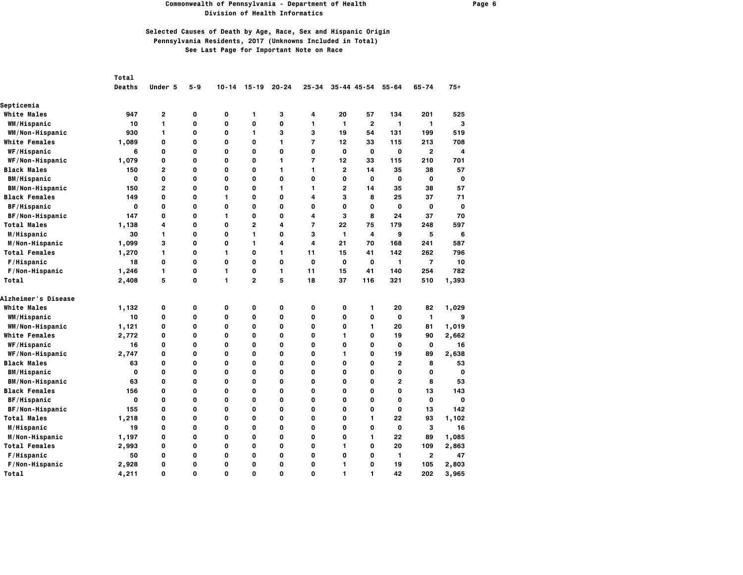### **Commonwealth of Pennsylvania - Department of Health Page 6 Division of Health Informatics**

|                        | Total        |                |             |              |                |             |                |                |                     |                |                |             |
|------------------------|--------------|----------------|-------------|--------------|----------------|-------------|----------------|----------------|---------------------|----------------|----------------|-------------|
|                        | Deaths       | Under 5        | 5-9         | $10 - 14$    | $15 - 19$      | $20 - 24$   | $25 - 34$      |                | $35 - 44$ $45 - 54$ | $55 - 64$      | $65 - 74$      | $75+$       |
| Septicemia             |              |                |             |              |                |             |                |                |                     |                |                |             |
| <b>White Males</b>     | 947          | 2              | 0           | 0            | 1              | 3           | 4              | 20             | 57                  | 134            | 201            | 525         |
| WM/Hispanic            | 10           | 1              | 0           | 0            | $\mathbf 0$    | 0           | 1              | 1              | $\mathbf{2}$        | $\mathbf{1}$   | 1              | 3           |
| WM/Non-Hispanic        | 930          | 1              | 0           | 0            | 1              | 3           | 3              | 19             | 54                  | 131            | 199            | 519         |
| <b>White Females</b>   | 1,089        | 0              | O           | $\mathbf{o}$ | $\mathbf{o}$   | 1           | $\overline{7}$ | 12             | 33                  | 115            | 213            | 708         |
| WF/Hispanic            | 6            | 0              | 0           | 0            | $\mathbf 0$    | 0           | $\mathbf 0$    | 0              | 0                   | 0              | $\mathbf{2}$   | 4           |
| WF/Non-Hispanic        | 1,079        | 0              | O           | $\mathbf{o}$ | O              | 1           | $\overline{7}$ | 12             | 33                  | 115            | 210            | 701         |
| <b>Black Males</b>     | 150          | $\overline{2}$ | $\mathbf 0$ | $\mathbf 0$  | $\mathbf 0$    | 1           | 1              | $\overline{2}$ | 14                  | 35             | 38             | 57          |
| <b>BM/Hispanic</b>     | $\mathbf{o}$ | 0              | O           | $\mathbf{o}$ | O              | 0           | O              | $\Omega$       | 0                   | 0              | $\mathbf{o}$   | O           |
| <b>BM/Non-Hispanic</b> | 150          | $\mathbf{2}$   | 0           | 0            | 0              | 1           | 1              | $\mathbf{2}$   | 14                  | 35             | 38             | 57          |
| <b>Black Females</b>   | 149          | 0              | 0           | 1            | $\mathbf 0$    | 0           | 4              | 3              | 8                   | 25             | 37             | 71          |
| <b>BF/Hispanic</b>     | 0            | 0              | 0           | $\mathbf{o}$ | $\mathbf 0$    | 0           | 0              | $\mathbf 0$    | 0                   | 0              | 0              | $\mathbf 0$ |
| BF/Non-Hispanic        | 147          | 0              | $\mathbf 0$ | $\mathbf{1}$ | $\mathbf 0$    | 0           | 4              | 3              | 8                   | 24             | 37             | 70          |
| <b>Total Males</b>     | 1,138        | 4              | O           | $\mathbf{o}$ | $\overline{2}$ | 4           | $\overline{7}$ | 22             | 75                  | 179            | 248            | 597         |
| M/Hispanic             | 30           | 1              | $\mathbf 0$ | 0            | 1              | 0           | 3              | 1              | 4                   | 9              | 5              | 6           |
| M/Non-Hispanic         | 1,099        | 3              | 0           | 0            | 1              | 4           | 4              | 21             | 70                  | 168            | 241            | 587         |
| <b>Total Females</b>   | 1,270        | 1              | 0           | 1            | 0              | 1           | 11             | 15             | 41                  | 142            | 262            | 796         |
| F/Hispanic             | 18           | 0              | $\mathbf 0$ | $\mathbf 0$  | $\mathbf 0$    | $\mathbf 0$ | $\mathbf 0$    | $\mathbf 0$    | $\mathbf{o}$        | 1              | $\overline{7}$ | 10          |
| F/Non-Hispanic         | 1,246        | 1              | O           | 1            | O              | 1           | 11             | 15             | 41                  | 140            | 254            | 782         |
| Total                  | 2,408        | 5              | $\mathbf 0$ | $\mathbf{1}$ | $\overline{2}$ | 5           | 18             | 37             | 116                 | 321            | 510            | 1,393       |
| Alzheimer's Disease    |              |                |             |              |                |             |                |                |                     |                |                |             |
| <b>White Males</b>     | 1,132        | 0              | 0           | 0            | 0              | 0           | 0              | 0              | 1                   | 20             | 82             | 1,029       |
| <b>WM/Hispanic</b>     | 10           | 0              | 0           | 0            | 0              | 0           | 0              | 0              | 0                   | 0              | 1              | 9           |
| WM/Non-Hispanic        | 1,121        | 0              | $\mathbf 0$ | $\mathbf 0$  | $\mathbf 0$    | 0           | $\mathbf 0$    | $\mathbf 0$    | 1                   | 20             | 81             | 1,019       |
| <b>White Females</b>   | 2,772        | 0              | 0           | 0            | 0              | O           | 0              | 1              | 0                   | 19             | 90             | 2,662       |
| WF/Hispanic            | 16           | 0              | 0           | 0            | 0              | 0           | $\mathbf 0$    | O              | 0                   | 0              | 0              | 16          |
| WF/Non-Hispanic        | 2,747        | 0              | $\mathbf 0$ | $\mathbf{o}$ | $\mathbf 0$    | 0           | $\mathbf 0$    | 1              | $\mathbf 0$         | 19             | 89             | 2,638       |
| Black Males            | 63           | 0              | O           | $\mathbf{o}$ | O              | 0           | O              | $\mathbf{o}$   | O                   | $\overline{2}$ | 8              | 53          |
| <b>BM/Hispanic</b>     | 0            | 0              | 0           | 0            | 0              | 0           | 0              | 0              | 0                   | 0              | 0              | O           |
| <b>BM/Non-Hispanic</b> | 63           | 0              | $\mathbf 0$ | $\mathbf 0$  | $\mathbf 0$    | 0           | $\mathbf 0$    | $\mathbf 0$    | $\mathbf 0$         | $\overline{2}$ | 8              | 53          |
| <b>Black Females</b>   | 156          | 0              | O           | $\mathbf{o}$ | O              | 0           | O              | $\mathbf 0$    | O                   | 0              | 13             | 143         |
| BF/Hispanic            | 0            | 0              | 0           | 0            | 0              | 0           | 0              | 0              | 0                   | 0              | 0              | O           |
| BF/Non-Hispanic        | 155          | 0              | 0           | 0            | 0              | 0           | 0              | 0              | 0                   | 0              | 13             | 142         |
| <b>Total Males</b>     | 1,218        | 0              | $\mathbf 0$ | $\mathbf{o}$ | $\mathbf 0$    | 0           | $\mathbf 0$    | $\mathbf 0$    | 1                   | 22             | 93             | 1,102       |
| M/Hispanic             | 19           | 0              | O           | $\mathbf{o}$ | O              | 0           | O              | $\mathbf{o}$   | O                   | 0              | з              | 16          |
| M/Non-Hispanic         | 1,197        | 0              | 0           | 0            | O              | 0           | O              | O              | 1                   | 22             | 89             | 1,085       |
| <b>Total Females</b>   | 2,993        | 0              | $\mathbf 0$ | $\mathbf 0$  | $\mathbf 0$    | 0           | $\mathbf 0$    | 1              | $\mathbf 0$         | 20             | 109            | 2,863       |
| F/Hispanic             | 50           | 0              | 0           | 0            | O              | 0           | O              | O              | O                   | 1              | $\overline{2}$ | 47          |
| F/Non-Hispanic         | 2,928        | 0              | 0           | 0            | 0              | 0           | 0              | 1              | 0                   | 19             | 105            | 2,803       |
| Total                  | 4,211        | $\Omega$       | $\Omega$    | $\Omega$     | $\Omega$       | $\Omega$    | $\Omega$       | 1              | $\mathbf{1}$        | 42             | 202            | 3,965       |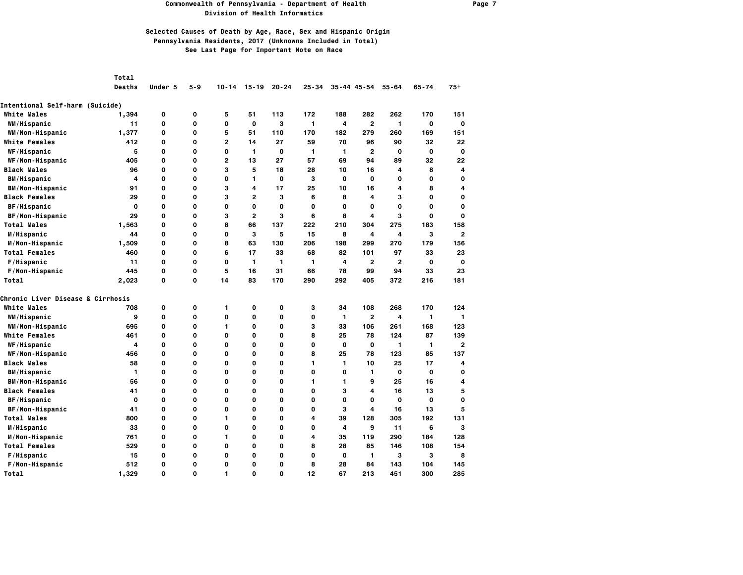#### **Commonwealth of Pennsylvania - Department of Health Page 7 Division of Health Informatics**

| Total |
|-------|
|       |

| Deaths |  |  |  | Under 5 5-9 10-14 15-19 20-24 25-34 35-44 45-54 55-64 65-74 75+ |  |  |
|--------|--|--|--|-----------------------------------------------------------------|--|--|
|        |  |  |  |                                                                 |  |  |

| Intentional Self-harm (Suicide)              |              |          |             |              |                |              |     |                         |                         |              |              |                |
|----------------------------------------------|--------------|----------|-------------|--------------|----------------|--------------|-----|-------------------------|-------------------------|--------------|--------------|----------------|
| <b>White Males</b>                           | 1,394        | 0        | 0           | 5            | 51             | 113          | 172 | 188                     | 282                     | 262          | 170          | 151            |
| WM/Hispanic                                  | 11           | 0        | O           | 0            | 0              | 3            | 1   | 4                       | $\overline{\mathbf{c}}$ | 1            | 0            | O              |
| WM/Non-Hispanic                              | 1,377        | 0        | O           | 5            | 51             | 110          | 170 | 182                     | 279                     | 260          | 169          | 151            |
| <b>White Females</b>                         | 412          | 0        | 0           | $\mathbf{2}$ | 14             | 27           | 59  | 70                      | 96                      | 90           | 32           | 22             |
| WF/Hispanic                                  | 5            | 0        | O           | 0            | 1              | $\mathbf{o}$ | 1   | 1                       | $\overline{2}$          | $\mathbf 0$  | $\mathbf{o}$ | 0              |
| WF/Non-Hispanic                              | 405          | 0        | 0           | $\mathbf{2}$ | 13             | 27           | 57  | 69                      | 94                      | 89           | 32           | 22             |
| <b>Black Males</b>                           | 96           | 0        | 0           | з            | 5              | 18           | 28  | 10                      | 16                      | 4            | 8            | 4              |
| <b>BM/Hispanic</b>                           | 4            | 0        | 0           | 0            | 1              | 0            | з   | 0                       | 0                       | 0            | 0            | O              |
| <b>BM/Non-Hispanic</b>                       | 91           | 0        | O           | 3            | 4              | 17           | 25  | 10                      | 16                      | 4            | 8            | 4              |
| <b>Black Females</b>                         | 29           | 0        | 0           | 3            | 2              | 3            | 6   | 8                       | 4                       | з            | 0            | O              |
| BF/Hispanic                                  | $\mathbf{o}$ | 0        | O           | 0            | $\mathbf{o}$   | $\mathbf{o}$ | O   | $\mathbf{o}$            | O                       | $\mathbf{o}$ | O            | O              |
| BF/Non-Hispanic                              | 29           | 0        | O           | 3            | $\overline{2}$ | 3            | 6   | 8                       | 4                       | 3            | $\mathbf{o}$ | o              |
| <b>Total Males</b>                           | 1,563        | 0        | 0           | 8            | 66             | 137          | 222 | 210                     | 304                     | 275          | 183          | 158            |
| M/Hispanic                                   | 44           | 0        | 0           | 0            | 3              | 5            | 15  | 8                       | 4                       | 4            | 3            | 2              |
| M/Non-Hispanic                               | 1,509        | 0        | 0           | 8            | 63             | 130          | 206 | 198                     | 299                     | 270          | 179          | 156            |
| <b>Total Females</b>                         | 460          | 0        | 0           | 6            | 17             | 33           | 68  | 82                      | 101                     | 97           | 33           | 23             |
| F/Hispanic                                   | 11           | 0        | 0           | 0            | 1              | $\mathbf{1}$ | 1   | 4                       | $\mathbf{2}$            | $\mathbf{2}$ | 0            | O              |
| F/Non-Hispanic                               | 445          | 0        | $\mathbf 0$ | 5            | 16             | 31           | 66  | 78                      | 99                      | 94           | 33           | 23             |
| Total                                        | 2,023        | 0        | $\mathbf 0$ | 14           | 83             | 170          | 290 | 292                     | 405                     | 372          | 216          | 181            |
| <b>Chronic Liver Disease &amp; Cirrhosis</b> |              |          |             |              |                |              |     |                         |                         |              |              |                |
| <b>White Males</b>                           | 708          | 0        | 0           | 1            | 0              | 0            | 3   | 34                      | 108                     | 268          | 170          | 124            |
| WM/Hispanic                                  | 9            | 0        | 0           | 0            | 0              | 0            | 0   | 1                       | $\overline{2}$          | 4            | 1            | 1              |
| WM/Non-Hispanic                              | 695          | 0        | 0           | 1            | $\mathbf{o}$   | 0            | 3   | 33                      | 106                     | 261          | 168          | 123            |
| <b>White Females</b>                         | 461          | 0        | O           | 0            | 0              | 0            | 8   | 25                      | 78                      | 124          | 87           | 139            |
| WF/Hispanic                                  | 4            | 0        | O           | 0            | 0              | 0            | 0   | $\mathbf 0$             | $\mathbf 0$             | 1            | 1            | $\overline{a}$ |
| WF/Non-Hispanic                              | 456          | 0        | O           | 0            | $\mathbf 0$    | 0            | 8   | 25                      | 78                      | 123          | 85           | 137            |
| <b>Black Males</b>                           | 58           | 0        | 0           | 0            | 0              | 0            | 1   | 1                       | 10                      | 25           | 17           | 4              |
| <b>BM/Hispanic</b>                           | 1            | 0        | 0           | 0            | $\mathbf 0$    | 0            | 0   | 0                       | 1                       | 0            | 0            | O              |
| <b>BM/Non-Hispanic</b>                       | 56           | 0        | O           | 0            | $\mathbf 0$    | 0            | 1   | 1                       | 9                       | 25           | 16           | 4              |
| <b>Black Females</b>                         | 41           | 0        | 0           | 0            | 0              | 0            | 0   | з                       | 4                       | 16           | 13           | 5              |
| BF/Hispanic                                  | 0            | 0        | 0           | 0            | 0              | 0            | 0   | 0                       | 0                       | 0            | 0            | O              |
| BF/Non-Hispanic                              | 41           | 0        | 0           | 0            | 0              | 0            | 0   | 3                       | 4                       | 16           | 13           | 5              |
| <b>Total Males</b>                           | 800          | 0        | $\mathbf 0$ | 1            | 0              | 0            | 4   | 39                      | 128                     | 305          | 192          | 131            |
| M/Hispanic                                   | 33           | 0        | $\mathbf 0$ | 0            | 0              | 0            | 0   | $\overline{\mathbf{4}}$ | 9                       | 11           | 6            | 3              |
| M/Non-Hispanic                               | 761          | 0        | O           | 1            | $\mathbf 0$    | 0            | 4   | 35                      | 119                     | 290          | 184          | 128            |
| <b>Total Females</b>                         | 529          | 0        | 0           | 0            | 0              | 0            | 8   | 28                      | 85                      | 146          | 108          | 154            |
| F/Hispanic                                   | 15           | 0        | 0           | 0            | 0              | 0            | 0   | 0                       | 1                       | 3            | з            | 8              |
| F/Non-Hispanic                               | 512          | 0        | 0           | 0            | O              | 0            | 8   | 28                      | 84                      | 143          | 104          | 145            |
| Total                                        | 1.329        | $\Omega$ | 0           | 1            | 0              | 0            | 12  | 67                      | 213                     | 451          | 300          | 285            |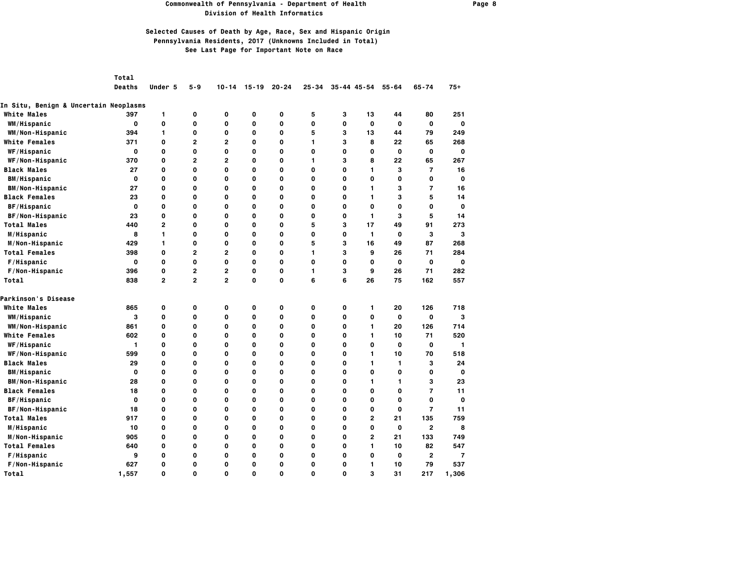### **Commonwealth of Pennsylvania - Department of Health Page 8 Division of Health Informatics**

|  | Total |
|--|-------|
|  |       |

|  |  |  |  | Deaths Under 5 5-9 10-14 15-19 20-24 25-34 35-44 45-54 55-64 65-74 75+ |  |  |
|--|--|--|--|------------------------------------------------------------------------|--|--|
|  |  |  |  |                                                                        |  |  |

| In Situ, Benign & Uncertain Neoplasms |             |                |                |                |              |              |    |   |                |              |                |       |
|---------------------------------------|-------------|----------------|----------------|----------------|--------------|--------------|----|---|----------------|--------------|----------------|-------|
| <b>White Males</b>                    | 397         | 1              | 0              | 0              | 0            | 0            | 5  | 3 | 13             | 44           | 80             | 251   |
| WM/Hispanic                           | $\mathbf 0$ | 0              | 0              | 0              | $\mathbf{o}$ | 0            | 0  | 0 | 0              | $\mathbf 0$  | $\mathbf o$    | 0     |
| WM/Non-Hispanic                       | 394         | $\mathbf{1}$   | 0              | 0              | 0            | 0            | 5  | 3 | 13             | 44           | 79             | 249   |
| <b>White Females</b>                  | 371         | 0              | $\mathbf{2}$   | $\overline{2}$ | $\mathbf{o}$ | $\mathbf{o}$ | 1  | 3 | 8              | 22           | 65             | 268   |
| WF/Hispanic                           | 0           | 0              | 0              | 0              | 0            | 0            | 0  | 0 | 0              | $\mathbf 0$  | 0              | 0     |
| WF/Non-Hispanic                       | 370         | 0              | $\mathbf{2}$   | $\mathbf{2}$   | 0            | $\mathbf{o}$ | 1. | з | 8              | 22           | 65             | 267   |
| <b>Black Males</b>                    | 27          | 0              | $\mathbf 0$    | 0              | O            | $\mathbf{o}$ | 0  | 0 | 1              | з            | $\overline{7}$ | 16    |
| <b>BM/Hispanic</b>                    | 0           | 0              | $\mathbf 0$    | 0              | 0            | 0            | 0  | 0 | 0              | 0            | 0              | 0     |
| <b>BM/Non-Hispanic</b>                | 27          | 0              | 0              | 0              | 0            | 0            | 0  | 0 | 1.             | з            | $\overline{7}$ | 16    |
| <b>Black Females</b>                  | 23          | 0              | O              | 0              | 0            | 0            | 0  | 0 | 1.             | з            | 5              | 14    |
| BF/Hispanic                           | 0           | 0              | 0              | 0              | 0            | 0            | 0  | 0 | 0              | 0            | 0              | 0     |
| BF/Non-Hispanic                       | 23          | 0              | 0              | 0              | $\mathbf{o}$ | 0            | 0  | 0 | 1              | З            | 5              | 14    |
| <b>Total Males</b>                    | 440         | $\overline{2}$ | $\mathbf 0$    | 0              | $\mathbf{o}$ | $\mathbf{o}$ | 5  | 3 | 17             | 49           | 91             | 273   |
| M/Hispanic                            | 8           | 1              | 0              | 0              | $\mathbf 0$  | $\mathbf{o}$ | 0  | 0 | $\mathbf{1}$   | $\mathbf 0$  | З              | 3     |
| M/Non-Hispanic                        | 429         | 1              | 0              | 0              | O            | $\mathbf{o}$ | 5  | 3 | 16             | 49           | 87             | 268   |
| <b>Total Females</b>                  | 398         | 0              | $\overline{2}$ | 2              | 0            | $\mathbf{o}$ | 1  | З | 9              | 26           | 71             | 284   |
| F/Hispanic                            | $\mathbf 0$ | 0              | 0              | 0              | $\mathbf{o}$ | $\mathbf 0$  | 0  | 0 | O              | $\mathbf 0$  | $\mathbf 0$    | 0     |
| F/Non-Hispanic                        | 396         | 0              | $\mathbf{2}$   | $\overline{2}$ | $\mathbf{o}$ | $\mathbf{o}$ | 1  | 3 | 9              | 26           | 71             | 282   |
| Total                                 | 838         | $\overline{2}$ | $\overline{2}$ | $\mathbf{2}$   | $\mathbf{o}$ | $\mathbf{o}$ | 6  | 6 | 26             | 75           | 162            | 557   |
| Parkinson's Disease                   |             |                |                |                |              |              |    |   |                |              |                |       |
| <b>White Males</b>                    | 865         | 0              | 0              | 0              | 0            | 0            | 0  | 0 | 1.             | 20           | 126            | 718   |
| WM/Hispanic                           | 3           | 0              | 0              | 0              | 0            | $\mathbf{o}$ | 0  | 0 | O              | $\mathbf{o}$ | $\mathbf 0$    | 3     |
| WM/Non-Hispanic                       | 861         | 0              | 0              | 0              | 0            | 0            | 0  | 0 | 1              | 20           | 126            | 714   |
| <b>White Females</b>                  | 602         | 0              | 0              | 0              | 0            | 0            | 0  | 0 | 1              | 10           | 71             | 520   |
| WF/Hispanic                           | 1           | 0              | 0              | 0              | 0            | 0            | 0  | 0 | 0              | 0            | 0              | 1     |
| WF/Non-Hispanic                       | 599         | 0              | $\mathbf 0$    | 0              | 0            | 0            | 0  | 0 | 1              | 10           | 70             | 518   |
| <b>Black Males</b>                    | 29          | 0              | 0              | 0              | $\mathbf{o}$ | $\mathbf 0$  | 0  | 0 | 1              | 1            | з              | 24    |
| <b>BM/Hispanic</b>                    | $\mathbf 0$ | 0              | 0              | 0              | $\mathbf 0$  | 0            | 0  | 0 | $\mathbf 0$    | 0            | 0              | 0     |
| <b>BM/Non-Hispanic</b>                | 28          | 0              | 0              | 0              | $\mathbf 0$  | $\mathbf 0$  | 0  | 0 | 1              | 1            | 3              | 23    |
| <b>Black Females</b>                  | 18          | 0              | 0              | 0              | $\mathbf 0$  | 0            | 0  | 0 | 0              | 0            | $\overline{7}$ | 11    |
| BF/Hispanic                           | O           | 0              | $\mathbf{o}$   | 0              | O            | $\mathbf{o}$ | O  | 0 | 0              | 0            | $\mathbf{o}$   | 0     |
| BF/Non-Hispanic                       | 18          | 0              | $\mathbf 0$    | O              | $\mathbf{o}$ | $\mathbf{o}$ | 0  | 0 | O              | 0            | $\overline{7}$ | 11    |
| <b>Total Males</b>                    | 917         | 0              | 0              | 0              | 0            | 0            | 0  | 0 | $\overline{2}$ | 21           | 135            | 759   |
| M/Hispanic                            | 10          | 0              | $\mathbf{o}$   | 0              | $\mathbf{o}$ | $\mathbf{o}$ | 0  | 0 | O              | $\mathbf{o}$ | $\mathbf{2}$   | 8     |
| M/Non-Hispanic                        | 905         | 0              | $\mathbf 0$    | O              | O            | $\mathbf{o}$ | 0  | 0 | 2              | 21           | 133            | 749   |
| <b>Total Females</b>                  | 640         | 0              | $\mathbf 0$    | 0              | 0            | 0            | 0  | 0 | 1              | 10           | 82             | 547   |
| F/Hispanic                            | 9           | 0              | 0              | 0              | 0            | 0            | 0  | 0 | 0              | 0            | $\mathbf{2}$   | 7     |
| F/Non-Hispanic                        | 627         | 0              | 0              | 0              | 0            | 0            | 0  | 0 | 1              | 10           | 79             | 537   |
| Total                                 | 1.557       | $\Omega$       | $\Omega$       | 0              | $\Omega$     | $\Omega$     | O  | 0 | 3              | 31           | 217            | 1,306 |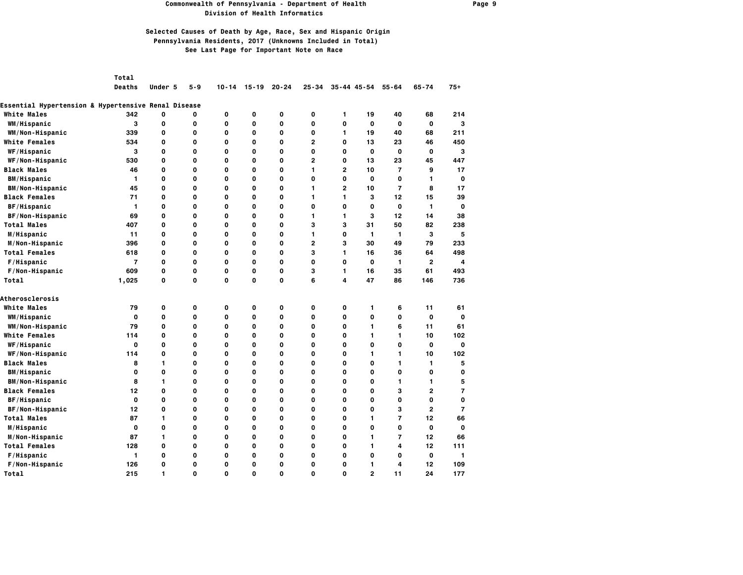### **Commonwealth of Pennsylvania - Department of Health Page 9 Division of Health Informatics**

## **Selected Causes of Death by Age, Race, Sex and Hispanic Origin Pennsylvania Residents, 2017 (Unknowns Included in Total) See Last Page for Important Note on Race**

*Total* 

 **Deaths Under 5 5-9 10-14 15-19 20-24 25-34 35-44 45-54 55-64 65-74 75+**

### **Essential Hypertension & Hypertensive Renal Disease**

| <b>White Males</b>     | 342            | 0            | 0 | 0 | 0           | 0 | 0            | 1            | 19           | 40             | 68             | 214      |
|------------------------|----------------|--------------|---|---|-------------|---|--------------|--------------|--------------|----------------|----------------|----------|
| WM/Hispanic            | 3              | 0            | 0 | 0 | 0           | 0 | 0            | 0            | O            | $\mathbf 0$    | $\mathbf 0$    | 3        |
| WM/Non-Hispanic        | 339            | 0            | 0 | 0 | $\mathbf 0$ | 0 | 0            | 1            | 19           | 40             | 68             | 211      |
| White Females          | 534            | $\mathbf{o}$ | 0 | 0 | 0           | 0 | 2            | 0            | 13           | 23             | 46             | 450      |
| WF/Hispanic            | 3              | $\mathbf{o}$ | 0 | 0 | 0           | 0 | O            | 0            | O            | 0              | $\mathbf 0$    | з        |
| WF/Non-Hispanic        | 530            | 0            | 0 | 0 | 0           | 0 | $\mathbf{2}$ | 0            | 13           | 23             | 45             | 447      |
| <b>Black Males</b>     | 46             | 0            | 0 | 0 | 0           | 0 | 1            | $\mathbf{2}$ | 10           | $\overline{7}$ | 9              | 17       |
| <b>BM/Hispanic</b>     | 1              | $\mathbf{o}$ | 0 | 0 | O           | 0 | O            | 0            | O            | 0              | 1.             | O        |
| <b>BM/Non-Hispanic</b> | 45             | $\mathbf{o}$ | 0 | 0 | 0           | 0 | 1            | $\mathbf{2}$ | 10           | $\overline{7}$ | 8              | 17       |
| <b>Black Females</b>   | 71             | $\mathbf{o}$ | 0 | 0 | O           | 0 | 1            | 1            | 3            | 12             | 15             | 39       |
| BF/Hispanic            | 1              | $\mathbf{o}$ | 0 | 0 | 0           | 0 | $\mathbf{o}$ | 0            | $\mathbf{o}$ | $\mathbf{o}$   | $\mathbf{1}$   | O        |
| BF/Non-Hispanic        | 69             | 0            | 0 | 0 | 0           | 0 | 1            | 1            | 3            | 12             | 14             | 38       |
| <b>Total Males</b>     | 407            | 0            | 0 | 0 | 0           | 0 | з            | 3            | 31           | 50             | 82             | 238      |
| M/Hispanic             | 11             | 0            | 0 | 0 | O           | 0 | 1            | 0            | 1            | 1              | 3              | 5        |
| M/Non-Hispanic         | 396            | $\mathbf{o}$ | 0 | 0 | $\mathbf 0$ | 0 | $\mathbf{2}$ | 3            | 30           | 49             | 79             | 233      |
| <b>Total Females</b>   | 618            | $\mathbf{o}$ | 0 | 0 | O           | 0 | 3            | 1            | 16           | 36             | 64             | 498      |
| F/Hispanic             | $\overline{7}$ | 0            | 0 | 0 | 0           | 0 | 0            | 0            | 0            | 1              | $\overline{2}$ | 4        |
| F/Non-Hispanic         | 609            | 0            | 0 | 0 | $\mathbf 0$ | 0 | з            | 1            | 16           | 35             | 61             | 493      |
| Total                  | 1,025          | 0            | O | 0 | O           | 0 | 6            | 4            | 47           | 86             | 146            | 736      |
| <b>Atherosclerosis</b> |                |              |   |   |             |   |              |              |              |                |                |          |
| <b>White Males</b>     | 79             | 0            | 0 | 0 | 0           | 0 | 0            | 0            | 1            | 6              | 11             | 61       |
| WM/Hispanic            | 0              | 0            | 0 | 0 | 0           | 0 | 0            | 0            | 0            | 0              | $\mathbf 0$    | O        |
| WM/Non-Hispanic        | 79             | $\mathbf{o}$ | 0 | 0 | 0           | 0 | 0            | 0            | 1.           | 6              | 11             | 61       |
| <b>White Females</b>   | 114            | 0            | 0 | 0 | 0           | 0 | 0            | 0            | 1.           | 1.             | 10             | 102      |
| WF/Hispanic            | $\mathbf{o}$   | 0            | 0 | 0 | O           | 0 | 0            | 0            | O            | 0              | $\mathbf 0$    | $\Omega$ |
| WF/Non-Hispanic        | 114            | $\mathbf{o}$ | 0 | 0 | $\mathbf 0$ | 0 | O            | 0            | 1            | 1              | 10             | 102      |
| <b>Black Males</b>     | 8              | $\mathbf{1}$ | 0 | 0 | 0           | 0 | 0            | 0            | 0            | 1              | 1              | 5        |
| <b>BM/Hispanic</b>     | 0              | $\mathbf 0$  | 0 | 0 | 0           | 0 | 0            | 0            | 0            | 0              | 0              | O        |
| BM/Non-Hispanic        | 8              | $\mathbf{1}$ | 0 | 0 | 0           | 0 | O            | 0            | 0            | $\mathbf{1}$   | 1              | 5        |
| <b>Black Females</b>   | 12             | 0            | 0 | 0 | 0           | 0 | 0            | 0            | 0            | 3              | $\mathbf{2}$   | 7        |
| BF/Hispanic            | $\Omega$       | $\mathbf{o}$ | 0 | 0 | O           | 0 | O            | 0            | O            | 0              | $\mathbf{o}$   | O        |
| BF/Non-Hispanic        | 12             | $\mathbf{o}$ | 0 | 0 | 0           | 0 | 0            | 0            | 0            | 3              | $\mathbf{2}$   | 7        |
| <b>Total Males</b>     | 87             | 1            | 0 | 0 | 0           | 0 | 0            | 0            | 1.           | 7              | 12             | 66       |
| M/Hispanic             | $\mathbf 0$    | 0            | 0 | 0 | 0           | 0 | 0            | 0            | 0            | 0              | $\mathbf 0$    | 0        |
| M/Non-Hispanic         | 87             | $\mathbf{1}$ | 0 | 0 | 0           | 0 | 0            | 0            | 1.           | 7              | 12             | 66       |
| <b>Total Females</b>   | 128            | 0            | 0 | 0 | 0           | 0 | 0            | 0            | 1            | 4              | 12             | 111      |
| F/Hispanic             | $\mathbf{1}$   | $\mathbf{o}$ | 0 | 0 | 0           | 0 | O            | 0            | O            | 0              | $\mathbf 0$    | 1        |
| F/Non-Hispanic         | 126            | $\mathbf{o}$ | 0 | 0 | 0           | 0 | 0            | 0            | 1            | 4              | 12             | 109      |
| Total                  | 215            | 1            | 0 | 0 | O           | 0 | 0            | 0            | $\mathbf{2}$ | 11             | 24             | 177      |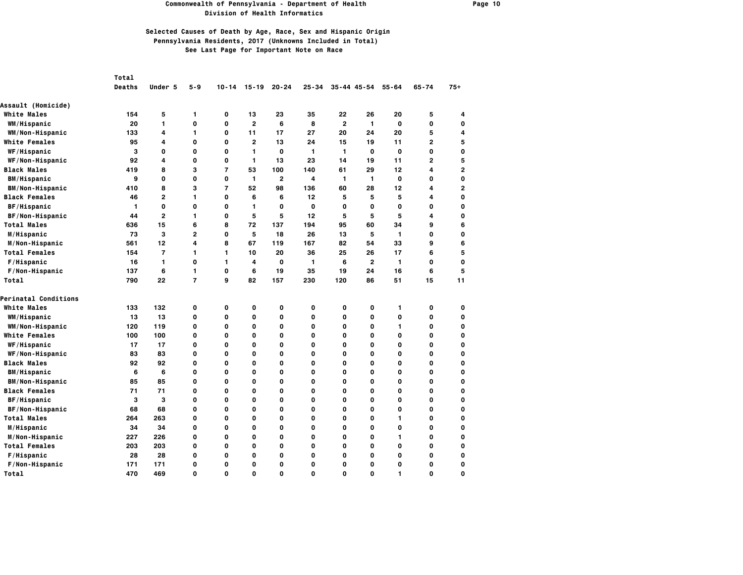#### **Commonwealth of Pennsylvania - Department of Health Page 10 Division of Health Informatics**

|                           | Total         |                         |                |                |                |              |              |                |                 |             |                |                |
|---------------------------|---------------|-------------------------|----------------|----------------|----------------|--------------|--------------|----------------|-----------------|-------------|----------------|----------------|
|                           | <b>Deaths</b> | Under 5                 | $5 - 9$        | $10 - 14$      | $15 - 19$      | $20 - 24$    | $25 - 34$    |                | $35 - 44$ 45-54 | $55 - 64$   | $65 - 74$      | $75+$          |
| <b>Assault (Homicide)</b> |               |                         |                |                |                |              |              |                |                 |             |                |                |
| <b>White Males</b>        | 154           | 5                       | 1              | 0              | 13             | 23           | 35           | 22             | 26              | 20          | 5              | 4              |
| WM/Hispanic               | 20            | 1                       | 0              | 0              | $\overline{2}$ | 6            | 8            | $\overline{2}$ | 1               | 0           | 0              | O              |
| WM/Non-Hispanic           | 133           | $\overline{\mathbf{4}}$ | 1              | 0              | 11             | 17           | 27           | 20             | 24              | 20          | 5              | 4              |
| <b>White Females</b>      | 95            | 4                       | 0              | 0              | $\overline{2}$ | 13           | 24           | 15             | 19              | 11          | $\overline{2}$ | 5              |
| WF/Hispanic               | 3             | 0                       | 0              | 0              | 1              | $\mathbf 0$  | 1            | $\mathbf{1}$   | O               | $\mathbf 0$ | $\mathbf 0$    | O              |
| WF/Non-Hispanic           | 92            | 4                       | 0              | 0              | 1              | 13           | 23           | 14             | 19              | 11          | $\overline{2}$ | 5              |
| <b>Black Males</b>        | 419           | 8                       | 3              | $\overline{7}$ | 53             | 100          | 140          | 61             | 29              | 12          | 4              | $\overline{a}$ |
| <b>BM/Hispanic</b>        | 9             | $\mathbf{o}$            | 0              | 0              | 1              | $\mathbf{2}$ | 4            | $\mathbf{1}$   | 1               | 0           | 0              | O              |
| <b>BM/Non-Hispanic</b>    | 410           | 8                       | 3              | $\overline{7}$ | 52             | 98           | 136          | 60             | 28              | 12          | 4              | 2              |
| <b>Black Females</b>      | 46            | $\mathbf{2}$            | 1              | 0              | 6              | 6            | 12           | 5              | 5               | 5           | 4              | 0              |
| BF/Hispanic               | 1             | 0                       | 0              | 0              | 1              | 0            | O            | 0              | 0               | 0           | 0              | O              |
| BF/Non-Hispanic           | 44            | $\mathbf{2}$            | 1              | 0              | 5              | 5            | 12           | 5              | 5               | 5           | 4              | O              |
| <b>Total Males</b>        | 636           | 15                      | 6              | 8              | 72             | 137          | 194          | 95             | 60              | 34          | 9              | 6              |
| M/Hispanic                | 73            | 3                       | 2              | O              | 5              | 18           | 26           | 13             | 5               | 1           | $\mathbf{o}$   | O              |
| M/Non-Hispanic            | 561           | 12                      | 4              | 8              | 67             | 119          | 167          | 82             | 54              | 33          | 9              | 6              |
| <b>Total Females</b>      | 154           | $\overline{7}$          | 1              | 1              | 10             | 20           | 36           | 25             | 26              | 17          | 6              | 5              |
| F/Hispanic                | 16            | 1                       | 0              | 1              | 4              | 0            | 1            | 6              | 2               | 1           | 0              | O              |
| F/Non-Hispanic            | 137           | 6                       | 1              | 0              | 6              | 19           | 35           | 19             | 24              | 16          | 6              | 5              |
| Total                     | 790           | 22                      | $\overline{7}$ | 9              | 82             | 157          | 230          | 120            | 86              | 51          | 15             | 11             |
| Perinatal Conditions      |               |                         |                |                |                |              |              |                |                 |             |                |                |
| <b>White Males</b>        | 133           | 132                     | 0              | 0              | 0              | 0            | 0            | 0              | 0               | 1           | 0              | O              |
| WM/Hispanic               | 13            | 13                      | 0              | O              | $\mathbf 0$    | 0            | $\mathbf{o}$ | 0              | O               | 0           | $\mathbf{o}$   | O              |
| WM/Non-Hispanic           | 120           | 119                     | 0              | O              | $\mathbf 0$    | 0            | O            | 0              | O               | 1           | O              | O              |
| <b>White Females</b>      | 100           | 100                     | 0              | 0              | 0              | 0            | $\mathbf 0$  | 0              | 0               | 0           | 0              | O              |
| <b>WF/Hispanic</b>        | 17            | 17                      | 0              | 0              | 0              | 0            | 0            | 0              | 0               | 0           | 0              | O              |
| WF/Non-Hispanic           | 83            | 83                      | 0              | 0              | 0              | 0            | 0            | 0              | 0               | 0           | 0              | O              |
| <b>Black Males</b>        | 92            | 92                      | 0              | 0              | 0              | 0            | O            | 0              | 0               | 0           | 0              | O              |
| <b>BM/Hispanic</b>        | 6             | 6                       | 0              | 0              | 0              | 0            | O            | 0              | 0               | 0           | O              | O              |
| <b>BM/Non-Hispanic</b>    | 85            | 85                      | 0              | 0              | 0              | 0            | 0            | 0              | 0               | 0           | 0              | O              |
| <b>Black Females</b>      | 71            | 71                      | 0              | 0              | $\mathbf 0$    | 0            | O            | 0              | O               | 0           | O              | O              |
| BF/Hispanic               | 3             | 3                       | 0              | O              | 0              | 0            | O            | 0              | O               | 0           | O              | 0              |
| BF/Non-Hispanic           | 68            | 68                      | 0              | O              | 0              | 0            | O            | 0              | O               | 0           | O              | O              |
| <b>Total Males</b>        | 264           | 263                     | 0              | 0              | 0              | 0            | 0            | 0              | 0               | 1           | 0              | O              |
| M/Hispanic                | 34            | 34                      | 0              | 0              | 0              | 0            | $\mathbf 0$  | 0              | 0               | 0           | 0              | 0              |
| M/Non-Hispanic            | 227           | 226                     | 0              | 0              | 0              | 0            | 0            | 0              | 0               | 1           | 0              | O              |
| <b>Total Females</b>      | 203           | 203                     | 0              | 0              | 0              | 0            | $\mathbf 0$  | 0              | 0               | 0           | $\mathbf 0$    | O              |
| F/Hispanic                | 28            | 28                      | 0              | 0              | 0              | 0            | 0            | 0              | 0               | 0           | 0              | O              |
| F/Non-Hispanic            | 171           | 171                     | 0              | 0              | 0              | 0            | 0            | 0              | 0               | 0           | 0              | O              |
| Total                     | 470           | 469                     | O              | O              | $\Omega$       | 0            | O            | $\Omega$       | O               |             | $\Omega$       | O              |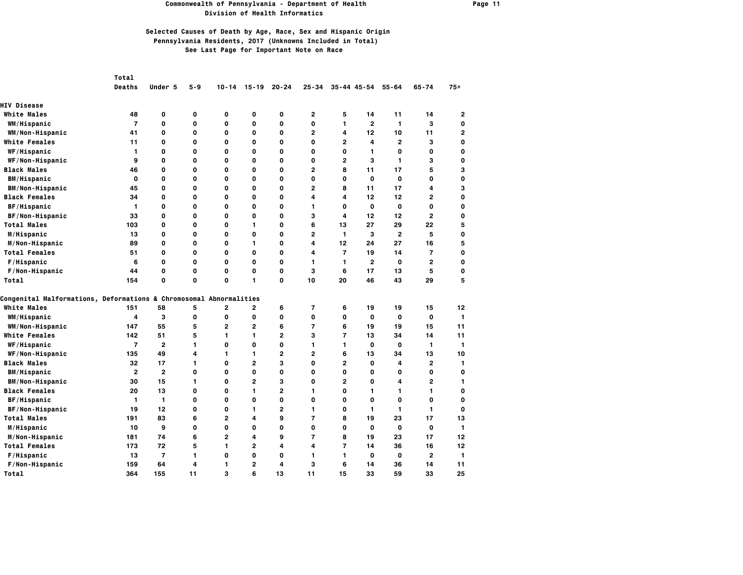#### **Commonwealth of Pennsylvania - Department of Health Page 11 Division of Health Informatics**

|                                                                    | Total          |                |             |                |                |                |                         |                          |                     |              |                |                |
|--------------------------------------------------------------------|----------------|----------------|-------------|----------------|----------------|----------------|-------------------------|--------------------------|---------------------|--------------|----------------|----------------|
|                                                                    | Deaths         | Under 5        | $5 - 9$     | $10 - 14$      | $15 - 19$      | $20 - 24$      | $25 - 34$               |                          | $35 - 44$ $45 - 54$ | $55 - 64$    | $65 - 74$      | $75+$          |
| <b>HIV Disease</b>                                                 |                |                |             |                |                |                |                         |                          |                     |              |                |                |
| <b>White Males</b>                                                 | 48             | 0              | 0           | 0              | 0              | 0              | $\mathbf{2}$            | 5                        | 14                  | 11           | 14             | 2              |
| WM/Hispanic                                                        | $\overline{7}$ | 0              | 0           | 0              | 0              | 0              | $\mathbf{o}$            | 1                        | $\mathbf{2}$        | 1            | з              | 0              |
| WM/Non-Hispanic                                                    | 41             | 0              | O           | 0              | O              | 0              | $\overline{2}$          | 4                        | 12                  | 10           | 11             | $\overline{2}$ |
| <b>White Females</b>                                               | 11             | 0              | 0           | 0              | 0              | 0              | $\mathbf{o}$            | 2                        | 4                   | $\mathbf{2}$ | 3              | 0              |
| WF/Hispanic                                                        | 1              | 0              | $\mathbf 0$ | 0              | 0              | 0              | $\mathbf{o}$            | 0                        | 1                   | $\mathbf 0$  | 0              | $\mathbf 0$    |
| WF/Non-Hispanic                                                    | 9              | 0              | O           | 0              | $\mathbf 0$    | 0              | $\mathbf{o}$            | $\overline{2}$           | 3                   | 1            | 3              | 0              |
| <b>Black Males</b>                                                 | 46             | 0              | 0           | 0              | 0              | 0              | 2                       | 8                        | 11                  | 17           | 5              | 3              |
| <b>BM/Hispanic</b>                                                 | 0              | 0              | O           | 0              | $\mathbf 0$    | 0              | $\mathbf{o}$            | 0                        | $\mathbf{o}$        | $\mathbf{o}$ | 0              | 0              |
| <b>BM/Non-Hispanic</b>                                             | 45             | 0              | 0           | 0              | 0              | 0              | 2                       | 8                        | 11                  | 17           | 4              | 3              |
| <b>Black Females</b>                                               | 34             | 0              | $\mathbf 0$ | 0              | 0              | 0              | 4                       | 4                        | 12                  | 12           | 2              | $\mathbf 0$    |
| BF/Hispanic                                                        | 1              | 0              | 0           | 0              | O              | 0              | 1                       | 0                        | 0                   | 0            | 0              | 0              |
| BF/Non-Hispanic                                                    | 33             | 0              | 0           | 0              | 0              | 0              | 3                       | 4                        | 12                  | 12           | $\mathbf{2}$   | $\mathbf 0$    |
| <b>Total Males</b>                                                 | 103            | 0              | O           | 0              | $\mathbf{1}$   | 0              | 6                       | 13                       | 27                  | 29           | 22             | 5              |
| M/Hispanic                                                         | 13             | 0              | O           | 0              | O              | 0              | $\overline{2}$          | $\mathbf{1}$             | 3                   | $\mathbf{2}$ | 5              | $\mathbf 0$    |
| M/Non-Hispanic                                                     | 89             | 0              | $\mathbf 0$ | 0              | 1              | 0              | 4                       | 12                       | 24                  | 27           | 16             | 5              |
| <b>Total Females</b>                                               | 51             | 0              | 0           | 0              | O              | 0              | 4                       | $\overline{7}$           | 19                  | 14           | $\overline{7}$ | 0              |
| F/Hispanic                                                         | 6              | 0              | 0           | 0              | 0              | 0              | 1                       | 1                        | $\mathbf{2}$        | 0            | 2              | 0              |
| F/Non-Hispanic                                                     | 44             | 0              | O           | 0              | O              | 0              | 3                       | 6                        | 17                  | 13           | 5              | 0              |
| Total                                                              | 154            | 0              | $\mathbf 0$ | 0              | 1              | 0              | 10                      | 20                       | 46                  | 43           | 29             | 5              |
| Congenital Malformations, Deformations & Chromosomal Abnormalities |                |                |             |                |                |                |                         |                          |                     |              |                |                |
| <b>White Males</b>                                                 | 151            | 58             | 5           | 2              | $\mathbf{2}$   | 6              | $\overline{\mathbf{r}}$ | 6                        | 19                  | 19           | 15             | 12             |
| WM/Hispanic                                                        | 4              | 3              | 0           | 0              | O              | 0              | $\mathbf{o}$            | 0                        | $\mathbf{o}$        | $\mathbf{o}$ | $\mathbf 0$    | $\mathbf{1}$   |
| WM/Non-Hispanic                                                    | 147            | 55             | 5           | $\overline{2}$ | $\overline{2}$ | 6              | $\overline{7}$          | 6                        | 19                  | 19           | 15             | 11             |
| <b>White Females</b>                                               | 142            | 51             | 5           | 1              | 1              | $\overline{2}$ | 3                       | $\overline{\phantom{a}}$ | 13                  | 34           | 14             | 11             |
| <b>WF/Hispanic</b>                                                 | $\overline{7}$ | $\overline{2}$ | 1           | 0              | O              | 0              | 1                       | 1                        | 0                   | 0            | 1              | 1              |
| WF/Non-Hispanic                                                    | 135            | 49             | 4           | 1              | 1              | $\mathbf{2}$   | 2                       | 6                        | 13                  | 34           | 13             | 10             |
| <b>Black Males</b>                                                 | 32             | 17             | 1           | 0              | $\overline{2}$ | 3              | $\mathbf{o}$            | $\overline{2}$           | 0                   | 4            | $\mathbf{2}$   | $\mathbf{1}$   |
| <b>BM/Hispanic</b>                                                 | $\mathbf{2}$   | $\overline{2}$ | O           | 0              | O              | 0              | 0                       | 0                        | 0                   | 0            | 0              | 0              |
| <b>BM/Non-Hispanic</b>                                             | 30             | 15             | 1           | 0              | $\overline{2}$ | 3              | $\mathbf{o}$            | 2                        | 0                   | 4            | $\overline{2}$ | 1              |
| <b>Black Females</b>                                               | 20             | 13             | O           | 0              | $\mathbf{1}$   | $\overline{2}$ | 1                       | 0                        | 1                   | $\mathbf{1}$ | 1              | $\mathbf 0$    |
| BF/Hispanic                                                        | 1              | 1              | $\mathbf 0$ | 0              | $\mathbf 0$    | 0              | $\mathbf{o}$            | 0                        | O                   | $\mathbf 0$  | 0              | $\mathbf 0$    |
| BF/Non-Hispanic                                                    | 19             | 12             | O           | 0              | 1              | $\overline{2}$ | 1                       | 0                        | 1                   | $\mathbf{1}$ | 1              | $\mathbf 0$    |
| <b>Total Males</b>                                                 | 191            | 83             | 6           | $\mathbf{2}$   | 4              | 9              | $\overline{7}$          | 8                        | 19                  | 23           | 17             | 13             |
| M/Hispanic                                                         | 10             | 9              | $\mathbf 0$ | 0              | 0              | 0              | $\mathbf{o}$            | 0                        | $\mathbf{o}$        | $\mathbf 0$  | 0              | 1              |
| M/Non-Hispanic                                                     | 181            | 74             | 6           | $\mathbf{2}$   | 4              | 9              | $\overline{7}$          | 8                        | 19                  | 23           | 17             | 12             |
| <b>Total Females</b>                                               | 173            | 72             | 5           | 1              | $\overline{2}$ | 4              | 4                       | $\overline{7}$           | 14                  | 36           | 16             | 12             |
| F/Hispanic                                                         | 13             | $\overline{7}$ | 1           | 0              | O              | 0              | 1                       | 1                        | 0                   | 0            | $\overline{2}$ | 1              |
| F/Non-Hispanic                                                     | 159            | 64             | 4           | 1              | $\overline{2}$ | 4              | 3                       | 6                        | 14                  | 36           | 14             | 11             |
| Total                                                              | 364            | 155            | 11          | 3              | 6              | 13             | 11                      | 15                       | 33                  | 59           | 33             | 25             |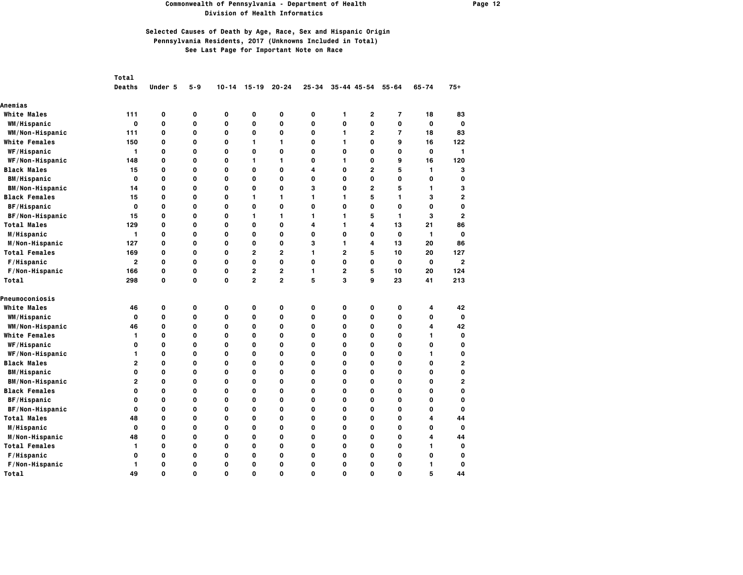### **Commonwealth of Pennsylvania - Department of Health Page 12 Division of Health Informatics**

|                        | Total          |         |             |           |                |                |           |                |                |                         |              |                |
|------------------------|----------------|---------|-------------|-----------|----------------|----------------|-----------|----------------|----------------|-------------------------|--------------|----------------|
|                        | <b>Deaths</b>  | Under 5 | $5 - 9$     | $10 - 14$ | $15 - 19$      | $20 - 24$      | $25 - 34$ |                | 35-44 45-54    | $55 - 64$               | $65 - 74$    | $75+$          |
| Anemias                |                |         |             |           |                |                |           |                |                |                         |              |                |
| <b>White Males</b>     | 111            | 0       | $\mathbf 0$ | 0         | $\mathbf 0$    | 0              | 0         | 1              | $\overline{2}$ | 7                       | 18           | 83             |
| WM/Hispanic            | 0              | 0       | 0           | 0         | 0              | 0              | 0         | 0              | 0              | 0                       | $\mathbf 0$  | 0              |
| WM/Non-Hispanic        | 111            | 0       | $\mathbf 0$ | 0         | $\mathbf 0$    | 0              | 0         | $\mathbf{1}$   | 2              | $\overline{\mathbf{r}}$ | 18           | 83             |
| <b>White Females</b>   | 150            | O       | $\Omega$    | 0         | 1              | 1              | O         | 1              | O              | 9                       | 16           | 122            |
| WF/Hispanic            | 1              | 0       | 0           | 0         | 0              | 0              | 0         | 0              | 0              | 0                       | 0            | 1              |
| WF/Non-Hispanic        | 148            | 0       | $\mathbf 0$ | 0         | 1              | 1              | 0         | 1              | 0              | 9                       | 16           | 120            |
| <b>Black Males</b>     | 15             | O       | $\mathbf 0$ | O         | $\mathbf 0$    | O              | 4         | 0              | $\overline{2}$ | 5                       | 1            | 3              |
| <b>BM/Hispanic</b>     | $\mathbf{o}$   | O       | $\mathbf 0$ | O         | $\mathbf 0$    | O              | O         | 0              | 0              | 0                       | 0            | 0              |
| <b>BM/Non-Hispanic</b> | 14             | 0       | 0           | 0         | 0              | 0              | з         | 0              | $\mathbf{2}$   | 5                       | 1            | 3              |
| <b>Black Females</b>   | 15             | O       | $\mathbf 0$ | O         | 1              | 1              | 1         | 1              | 5              | 1                       | 3            | 2              |
| <b>BF/Hispanic</b>     | O              | 0       | O           | 0         | O              | 0              | O         | 0              | 0              | $\mathbf{o}$            | $\mathbf 0$  | 0              |
| BF/Non-Hispanic        | 15             | 0       | 0           | 0         | 1              | 1              | 1         | $\mathbf{1}$   | 5              | 1                       | 3            | 2              |
| <b>Total Males</b>     | 129            | O       | $\mathbf 0$ | 0         | $\mathbf 0$    | 0              | 4         | 1              | 4              | 13                      | 21           | 86             |
| M/Hispanic             | 1              | 0       | $\mathbf 0$ | 0         | 0              | 0              | 0         | 0              | 0              | $\mathbf 0$             | 1            | $\mathbf{o}$   |
| M/Non-Hispanic         | 127            | O       | $\mathbf 0$ | 0         | $\mathbf 0$    | O              | 3         | 1.             | 4              | 13                      | 20           | 86             |
| <b>Total Females</b>   | 169            | 0       | $\mathbf 0$ | 0         | $\overline{2}$ | $\overline{2}$ | 1         | $\overline{2}$ | 5              | 10                      | 20           | 127            |
| F/Hispanic             | $\mathbf{2}$   | 0       | $\mathbf 0$ | 0         | O              | 0              | 0         | 0              | 0              | $\mathbf 0$             | $\mathbf 0$  | $\overline{2}$ |
| F/Non-Hispanic         | 166            | 0       | 0           | 0         | 2              | $\overline{2}$ | 1         | $\mathbf{2}$   | 5              | 10                      | 20           | 124            |
| Total                  | 298            | 0       | O           | 0         | $\overline{2}$ | $\overline{2}$ | 5         | 3              | 9              | 23                      | 41           | 213            |
| Pneumoconiosis         |                |         |             |           |                |                |           |                |                |                         |              |                |
| <b>White Males</b>     | 46             | 0       | 0           | 0         | 0              | 0              | 0         | 0              | 0              | 0                       | 4            | 42             |
| WM/Hispanic            | $\mathbf 0$    | 0       | O           | 0         | O              | 0              | O         | $\mathbf{o}$   | O              | $\mathbf{o}$            | $\mathbf{o}$ | $\mathbf{0}$   |
| WM/Non-Hispanic        | 46             | 0       | $\mathbf 0$ | 0         | $\mathbf 0$    | O              | 0         | 0              | 0              | 0                       | 4            | 42             |
| <b>White Females</b>   | 1              | 0       | 0           | 0         | $\mathbf 0$    | 0              | 0         | 0              | 0              | 0                       | 1            | $\mathbf{o}$   |
| WF/Hispanic            | 0              | O       | O           | 0         | O              | O              | 0         | 0              | 0              | 0                       | 0            | 0              |
| WF/Non-Hispanic        | 1              | 0       | 0           | 0         | 0              | 0              | 0         | 0              | 0              | $\mathbf 0$             | 1.           | 0              |
| <b>Black Males</b>     | $\overline{2}$ | 0       | 0           | 0         | 0              | 0              | 0         | 0              | 0              | $\mathbf 0$             | 0            | 2              |
| <b>BM/Hispanic</b>     | $\mathbf{o}$   | O       | $\mathbf 0$ | 0         | $\mathbf 0$    | O              | 0         | 0              | 0              | 0                       | 0            | 0              |
| <b>BM/Non-Hispanic</b> | $\mathbf{2}$   | 0       | 0           | 0         | 0              | 0              | 0         | 0              | 0              | 0                       | 0            | 2              |
| <b>Black Females</b>   | 0              | O       | 0           | 0         | 0              | O              | 0         | 0              | 0              | 0                       | 0            | 0              |
| <b>BF/Hispanic</b>     | $\mathbf 0$    | 0       | $\mathbf 0$ | O         | O              | 0              | O         | 0              | 0              | 0                       | 0            | $\mathbf 0$    |
| BF/Non-Hispanic        | 0              | 0       | 0           | 0         | 0              | 0              | 0         | 0              | 0              | 0                       | 0            | $\mathbf o$    |
| <b>Total Males</b>     | 48             | 0       | $\mathbf 0$ | 0         | $\mathbf 0$    | 0              | 0         | 0              | 0              | $\mathbf 0$             | 4            | 44             |
| M/Hispanic             | $\mathbf{o}$   | 0       | 0           | 0         | 0              | 0              | 0         | 0              | 0              | 0                       | 0            | $\mathbf 0$    |
| M/Non-Hispanic         | 48             | 0       | 0           | 0         | 0              | 0              | 0         | 0              | 0              | 0                       | 4            | 44             |
| <b>Total Females</b>   | 1              | 0       | 0           | 0         | 0              | 0              | 0         | 0              | 0              | $\mathbf 0$             | 1.           | 0              |
| F/Hispanic             | 0              | O       | $\mathbf 0$ | O         | $\mathbf 0$    | O              | 0         | 0              | 0              | 0                       | 0            | 0              |
| F/Non-Hispanic         | 1              | 0       | $\mathbf 0$ | O         | 0              | 0              | 0         | 0              | 0              | 0                       | 1            | 0              |
| Total                  | 49             | O       | $\mathbf 0$ | O         | $\mathbf 0$    | O              | O         | 0              | 0              | $\Omega$                | 5            | 44             |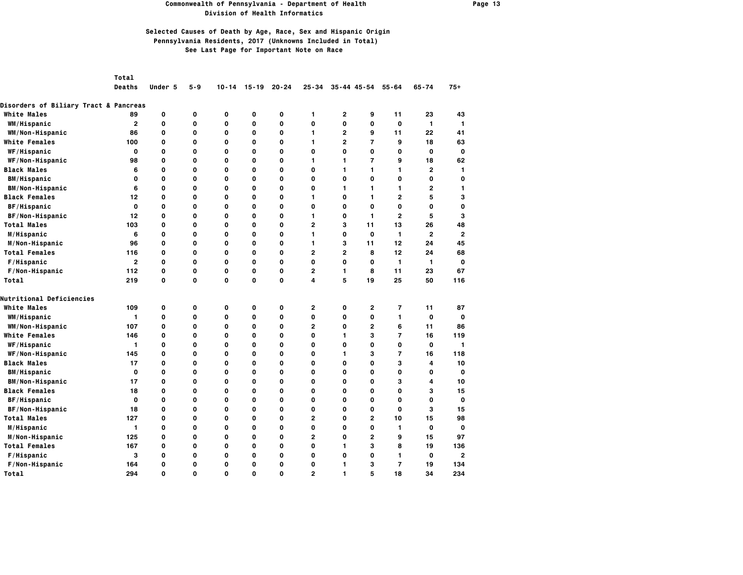#### **Commonwealth of Pennsylvania - Department of Health Page 13 Division of Health Informatics**

# **Selected Causes of Death by Age, Race, Sex and Hispanic Origin Pennsylvania Residents, 2017 (Unknowns Included in Total) See Last Page for Important Note on Race**

*Total* 

 **Deaths Under 5 5-9 10-14 15-19 20-24 25-34 35-44 45-54 55-64 65-74 75+**

| <b>Disorders of Biliary Tract &amp; Pancreas</b> |              |          |             |   |             |   |                |              |                |                |                         |                |
|--------------------------------------------------|--------------|----------|-------------|---|-------------|---|----------------|--------------|----------------|----------------|-------------------------|----------------|
| <b>White Males</b>                               | 89           | 0        | 0           | 0 | 0           | 0 | 1              | 2            | 9              | 11             | 23                      | 43             |
| WM/Hispanic                                      | $\mathbf{2}$ | 0        | $\mathbf 0$ | 0 | O           | 0 | $\mathbf{o}$   | 0            | O              | $\mathbf 0$    | $\mathbf{1}$            | 1              |
| WM/Non-Hispanic                                  | 86           | 0        | $\mathbf 0$ | 0 | $\mathbf 0$ | 0 | $\mathbf{1}$   | $\mathbf{2}$ | 9              | 11             | 22                      | 41             |
| <b>White Females</b>                             | 100          | 0        | 0           | 0 | 0           | 0 | 1              | $\mathbf{2}$ | $\overline{7}$ | 9              | 18                      | 63             |
| WF/Hispanic                                      | 0            | 0        | 0           | 0 | 0           | 0 | $\mathbf{o}$   | 0            | 0              | 0              | 0                       | $\mathbf 0$    |
| WF/Non-Hispanic                                  | 98           | 0        | $\mathbf 0$ | 0 | $\mathbf 0$ | 0 | 1              | 1            | $\overline{7}$ | 9              | 18                      | 62             |
| <b>Black Males</b>                               | 6            | 0        | $\mathbf 0$ | 0 | $\mathbf 0$ | 0 | $\mathbf{o}$   | 1            | 1              | $\mathbf{1}$   | $\overline{\mathbf{c}}$ | 1              |
| <b>BM/Hispanic</b>                               | O            | 0        | $\mathbf 0$ | O | 0           | 0 | $\mathbf{o}$   | 0            | O              | $\mathbf{o}$   | 0                       | $\mathbf 0$    |
| <b>BM/Non-Hispanic</b>                           | 6            | 0        | $\mathbf 0$ | 0 | 0           | 0 | $\mathbf{o}$   | 1            | 1              | $\mathbf{1}$   | $\mathbf{2}$            | 1              |
| <b>Black Females</b>                             | 12           | 0        | $\mathbf 0$ | 0 | $\mathbf 0$ | 0 | 1              | 0            | 1              | $\overline{2}$ | 5                       | 3              |
| <b>BF/Hispanic</b>                               | O            | $\Omega$ | O           | 0 | $\Omega$    | 0 | $\mathbf{o}$   | $\Omega$     | 0              | $\mathbf{o}$   | O                       | $\mathbf 0$    |
| BF/Non-Hispanic                                  | 12           | 0        | $\mathbf 0$ | 0 | O           | 0 | $\mathbf{1}$   | 0            | $\mathbf{1}$   | $\overline{2}$ | 5                       | 3              |
| <b>Total Males</b>                               | 103          | 0        | $\mathbf 0$ | 0 | 0           | 0 | $\overline{2}$ | 3            | 11             | 13             | 26                      | 48             |
| M/Hispanic                                       | 6            | 0        | O           | 0 | 0           | 0 | 1              | 0            | $\mathbf{o}$   | 1              | $\mathbf{2}$            | $\overline{2}$ |
| M/Non-Hispanic                                   | 96           | 0        | $\mathbf 0$ | 0 | O           | 0 | 1              | 3            | 11             | 12             | 24                      | 45             |
| <b>Total Females</b>                             | 116          | 0        | 0           | 0 | 0           | 0 | $\overline{2}$ | 2            | 8              | 12             | 24                      | 68             |
| F/Hispanic                                       | $\mathbf{2}$ | 0        | 0           | 0 | 0           | 0 | 0              | 0            | 0              | 1              | 1                       | 0              |
| F/Non-Hispanic                                   | 112          | 0        | 0           | 0 | $\mathbf 0$ | 0 | 2              | 1.           | 8              | 11             | 23                      | 67             |
| Total                                            | 219          | 0        | $\mathbf 0$ | 0 | $\mathbf 0$ | 0 | 4              | 5            | 19             | 25             | 50                      | 116            |
| <b>Nutritional Deficiencies</b>                  |              |          |             |   |             |   |                |              |                |                |                         |                |
| <b>White Males</b>                               | 109          | 0        | 0           | 0 | 0           | 0 | $\mathbf{2}$   | $\mathbf 0$  | $\mathbf{2}$   | $\overline{7}$ | 11                      | 87             |
| WM/Hispanic                                      | 1            | 0        | 0           | 0 | 0           | 0 | 0              | 0            | 0              | 1              | $\mathbf{o}$            | O              |
| WM/Non-Hispanic                                  | 107          | 0        | $\mathbf 0$ | 0 | O           | 0 | 2              | 0            | $\mathbf{2}$   | 6              | 11                      | 86             |
| <b>White Females</b>                             | 146          | 0        | $\mathbf 0$ | 0 | 0           | 0 | 0              | 1            | 3              | $\overline{7}$ | 16                      | 119            |
| WF/Hispanic                                      | 1            | 0        | 0           | 0 | 0           | 0 | 0              | 0            | 0              | 0              | 0                       | $\mathbf{1}$   |
| WF/Non-Hispanic                                  | 145          | 0        | 0           | 0 | 0           | 0 | 0              | 1            | з              | $\overline{7}$ | 16                      | 118            |
| <b>Black Males</b>                               | 17           | 0        | O           | 0 | $\mathbf 0$ | 0 | $\mathbf{o}$   | 0            | O              | з              | 4                       | 10             |
| <b>BM/Hispanic</b>                               | $\mathbf 0$  | 0        | $\mathbf 0$ | 0 | $\mathbf 0$ | 0 | $\mathbf{o}$   | 0            | 0              | 0              | 0                       | $\mathbf 0$    |
| <b>BM/Non-Hispanic</b>                           | 17           | 0        | $\mathbf 0$ | 0 | $\mathbf 0$ | 0 | $\mathbf{o}$   | 0            | $\mathbf 0$    | з              | 4                       | 10             |
| <b>Black Females</b>                             | 18           | 0        | O           | 0 | $\mathbf 0$ | 0 | $\mathbf{o}$   | 0            | O              | $\mathbf{o}$   | з                       | 15             |
| BF/Hispanic                                      | 0            | 0        | O           | 0 | 0           | 0 | 0              | 0            | 0              | 0              | 0                       | $\mathbf 0$    |
| BF/Non-Hispanic                                  | 18           | 0        | O           | 0 | O           | 0 | $\mathbf{o}$   | 0            | 0              | $\mathbf{o}$   | 3                       | 15             |
| <b>Total Males</b>                               | 127          | 0        | O           | 0 | $\Omega$    | 0 | $\overline{2}$ | $\Omega$     | $\mathbf{2}$   | 10             | 15                      | 98             |
| M/Hispanic                                       | 1            | 0        | $\mathbf 0$ | 0 | 0           | 0 | $\mathbf{o}$   | 0            | 0              | 1              | $\mathbf{o}$            | $\mathbf 0$    |
| M/Non-Hispanic                                   | 125          | 0        | 0           | 0 | 0           | 0 | $\overline{2}$ | 0            | $\overline{2}$ | 9              | 15                      | 97             |
| <b>Total Females</b>                             | 167          | 0        | $\mathbf 0$ | 0 | O           | 0 | $\mathbf{o}$   | 1            | 3              | 8              | 19                      | 136            |
| F/Hispanic                                       | 3            | 0        | $\mathbf 0$ | 0 | $\mathbf 0$ | 0 | $\mathbf{o}$   | 0            | $\mathbf 0$    | $\mathbf{1}$   | $\mathbf 0$             | $\overline{2}$ |
| F/Non-Hispanic                                   | 164          | 0        | $\mathbf 0$ | 0 | $\mathbf 0$ | 0 | 0              | 1            | з              | $\overline{7}$ | 19                      | 134            |
| Total                                            | 294          | $\Omega$ | $\Omega$    | O | $\Omega$    | 0 | $\overline{2}$ | 1            | 5              | 18             | 34                      | 234            |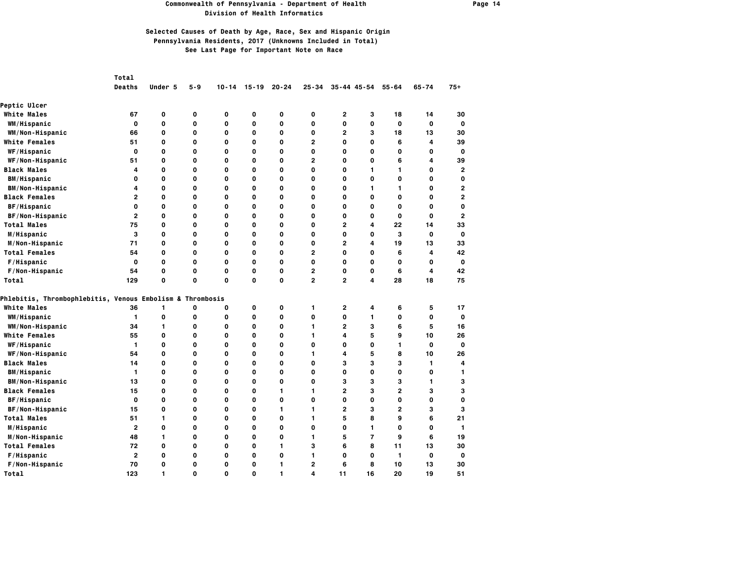### **Commonwealth of Pennsylvania - Department of Health Page 14 Division of Health Informatics**

|                                                                      | Total                   |         |          |           |              |           |                |                 |                |                |              |                         |
|----------------------------------------------------------------------|-------------------------|---------|----------|-----------|--------------|-----------|----------------|-----------------|----------------|----------------|--------------|-------------------------|
|                                                                      | <b>Deaths</b>           | Under 5 | 5-9      | $10 - 14$ | $15 - 19$    | $20 - 24$ | $25 - 34$      | $35 - 44$ 45-54 |                | $55 - 64$      | $65 - 74$    | $75+$                   |
| <b>Peptic Ulcer</b>                                                  |                         |         |          |           |              |           |                |                 |                |                |              |                         |
| <b>White Males</b>                                                   | 67                      | 0       | 0        | 0         | 0            | 0         | 0              | 2               | з              | 18             | 14           | 30                      |
| WM/Hispanic                                                          | 0                       | 0       | 0        | 0         | O            | 0         | 0              | 0               | 0              | 0              | $\mathbf 0$  | $\mathbf 0$             |
| WM/Non-Hispanic                                                      | 66                      | 0       | 0        | O         | O            | 0         | $\mathbf{o}$   | $\overline{2}$  | 3              | 18             | 13           | 30                      |
| <b>White Females</b>                                                 | 51                      | 0       | 0        | O         | O            | O         | $\mathbf{2}$   | $\mathbf{o}$    | 0              | 6              | 4            | 39                      |
| WF/Hispanic                                                          | $\mathbf{o}$            | O       | 0        | 0         | $\mathbf 0$  | 0         | 0              | $\mathbf 0$     | 0              | 0              | $\mathbf 0$  | $\mathbf 0$             |
| WF/Non-Hispanic                                                      | 51                      | 0       | 0        | O         | O            | O         | $\mathbf{2}$   | $\mathbf{o}$    | O              | 6              | 4            | 39                      |
| <b>Black Males</b>                                                   | 4                       | 0       | 0        | 0         | 0            | 0         | 0              | 0               | 1              | 1.             | 0            | 2                       |
| <b>BM/Hispanic</b>                                                   | 0                       | 0       | 0        | O         | O            | O         | $\mathbf{o}$   | $\mathbf{o}$    | O              | 0              | O            | $\mathbf 0$             |
| <b>BM/Non-Hispanic</b>                                               | 4                       | 0       | 0        | 0         | 0            | 0         | 0              | 0               | 1              | 1.             | 0            | $\overline{\mathbf{c}}$ |
| <b>Black Females</b>                                                 | $\overline{2}$          | 0       | 0        | 0         | $\mathbf 0$  | 0         | 0              | $\mathbf{o}$    | 0              | $\mathbf 0$    | $\mathbf 0$  | $\overline{\mathbf{c}}$ |
| BF/Hispanic                                                          | 0                       | 0       | 0        | 0         | 0            | 0         | 0              | 0               | 0              | 0              | 0            | $\mathbf 0$             |
| BF/Non-Hispanic                                                      | $\mathbf{2}$            | 0       | 0        | 0         | 0            | 0         | 0              | 0               | 0              | 0              | 0            | $\overline{2}$          |
| <b>Total Males</b>                                                   | 75                      | O       | 0        | O         | $\mathbf{o}$ | O         | $\mathbf{o}$   | $\overline{2}$  | 4              | 22             | 14           | 33                      |
| M/Hispanic                                                           | 3                       | 0       | 0        | O         | O            | O         | $\mathbf{o}$   | $\mathbf{o}$    | 0              | 3              | $\mathbf{o}$ | 0                       |
| M/Non-Hispanic                                                       | 71                      | 0       | 0        | 0         | $\mathbf 0$  | O         | 0              | $\overline{2}$  | 4              | 19             | 13           | 33                      |
| <b>Total Females</b>                                                 | 54                      | 0       | 0        | O         | O            | 0         | $\mathbf{2}$   | $\mathbf{o}$    | 0              | 6              | 4            | 42                      |
| F/Hispanic                                                           | 0                       | 0       | 0        | 0         | 0            | 0         | 0              | 0               | 0              | 0              | 0            | 0                       |
| F/Non-Hispanic                                                       | 54                      | 0       | 0        | 0         | O            | 0         | $\mathbf{2}$   | $\mathbf{o}$    | O              | 6              | 4            | 42                      |
| Total                                                                | 129                     | 0       | 0        | 0         | $\mathbf 0$  | 0         | $\mathbf{2}$   | $\mathbf{2}$    | 4              | 28             | 18           | 75                      |
| <b>Phlebitis, Thrombophlebitis, Venous Embolism &amp; Thrombosis</b> |                         |         |          |           |              |           |                |                 |                |                |              |                         |
| <b>White Males</b>                                                   | 36                      | 1       | 0        | 0         | 0            | 0         | 1.             | 2               | 4              | 6              | 5            | 17                      |
| WM/Hispanic                                                          | $\mathbf{1}$            | 0       | O        | 0         | O            | 0         | $\mathbf{o}$   | $\mathbf{o}$    | 1              | 0              | $\mathbf{o}$ | $\mathbf{o}$            |
| WM/Non-Hispanic                                                      | 34                      | 1       | 0        | O         | O            | O         | 1              | $\mathbf{2}$    | 3              | 6              | 5            | 16                      |
| <b>White Females</b>                                                 | 55                      | 0       | 0        | 0         | $\mathbf 0$  | O         | 1              | 4               | 5              | 9              | 10           | 26                      |
| <b>WF/Hispanic</b>                                                   | 1                       | 0       | 0        | 0         | 0            | O         | $\mathbf{o}$   | 0               | 0              | $\mathbf{1}$   | 0            | $\mathbf 0$             |
| WF/Non-Hispanic                                                      | 54                      | 0       | 0        | 0         | 0            | 0         | 1.             | 4               | 5              | 8              | 10           | 26                      |
| <b>Black Males</b>                                                   | 14                      | 0       | 0        | 0         | O            | O         | $\mathbf{o}$   | 3               | 3              | 3              | 1            | 4                       |
| <b>BM/Hispanic</b>                                                   | 1                       | 0       | 0        | O         | O            | O         | $\mathbf{o}$   | 0               | 0              | 0              | O            | 1                       |
| <b>BM/Non-Hispanic</b>                                               | 13                      | 0       | 0        | 0         | $\mathbf 0$  | 0         | 0              | з               | з              | 3              | 1            | 3                       |
| <b>Black Females</b>                                                 | 15                      | 0       | 0        | O         | O            | 1         | 1              | $\overline{2}$  | 3              | $\overline{2}$ | 3            | 3                       |
| BF/Hispanic                                                          | $\mathbf{o}$            | 0       | 0        | 0         | $\mathbf 0$  | 0         | $\mathbf{o}$   | $\mathbf{o}$    | 0              | 0              | $\mathbf 0$  | 0                       |
| BF/Non-Hispanic                                                      | 15                      | 0       | 0        | O         | O            | 1         | 1.             | $\overline{2}$  | 3              | $\overline{2}$ | 3            | 3                       |
| <b>Total Males</b>                                                   | 51                      | 1       | 0        | 0         | 0            | 0         | 1              | 5               | 8              | 9              | 6            | 21                      |
| M/Hispanic                                                           | $\overline{\mathbf{c}}$ | 0       | 0        | 0         | $\mathbf 0$  | 0         | 0              | $\mathbf 0$     | 1              | 0              | $\mathbf 0$  | 1                       |
| M/Non-Hispanic                                                       | 48                      | 1       | 0        | 0         | 0            | 0         | 1              | 5               | $\overline{7}$ | 9              | 6            | 19                      |
| <b>Total Females</b>                                                 | 72                      | 0       | 0        | 0         | $\mathbf 0$  | 1         | 3              | 6               | 8              | 11             | 13           | 30                      |
| F/Hispanic                                                           | $\mathbf{2}$            | 0       | 0        | 0         | O            | 0         | 1              | $\mathbf{o}$    | O              | $\mathbf{1}$   | 0            | $\mathbf 0$             |
| F/Non-Hispanic                                                       | 70                      | 0       | 0        | 0         | $\mathbf 0$  | 1         | $\overline{2}$ | 6               | 8              | 10             | 13           | 30                      |
| Total                                                                | 123                     | 1       | $\Omega$ | O         | $\mathbf 0$  | 1         | 4              | 11              | 16             | 20             | 19           | 51                      |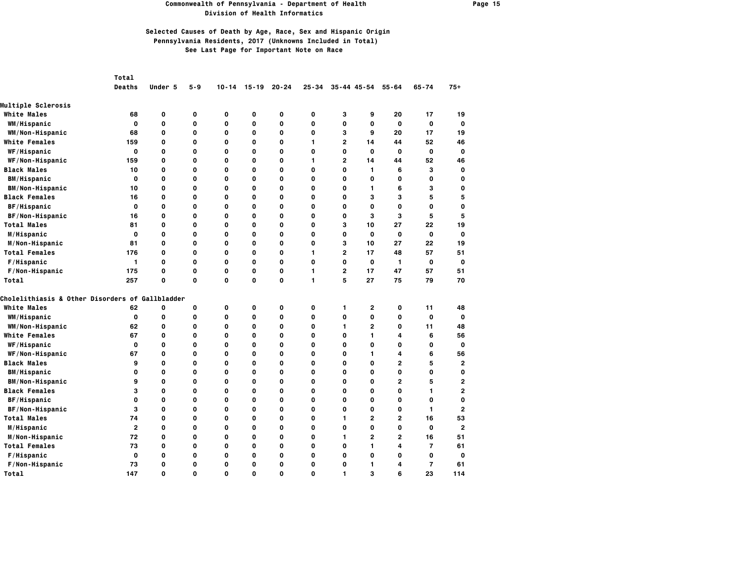#### **Commonwealth of Pennsylvania - Department of Health Page 15 Division of Health Informatics**

|                                                 | Total        |          |             |           |             |           |              |                |                 |                         |                |                |
|-------------------------------------------------|--------------|----------|-------------|-----------|-------------|-----------|--------------|----------------|-----------------|-------------------------|----------------|----------------|
|                                                 | Deaths       | Under 5  | $5 - 9$     | $10 - 14$ | $15 - 19$   | $20 - 24$ | $25 - 34$    |                | $35 - 44$ 45-54 | $55 - 64$               | $65 - 74$      | $75+$          |
| <b>Multiple Sclerosis</b>                       |              |          |             |           |             |           |              |                |                 |                         |                |                |
| <b>White Males</b>                              | 68           | 0        | 0           | 0         | 0           | 0         | $\mathbf{o}$ | з              | 9               | 20                      | 17             | 19             |
| WM/Hispanic                                     | 0            | 0        | 0           | 0         | 0           | 0         | $\mathbf{o}$ | 0              | 0               | 0                       | 0              | 0              |
| WM/Non-Hispanic                                 | 68           | 0        | $\mathbf 0$ | 0         | $\mathbf 0$ | 0         | $\mathbf 0$  | 3              | 9               | 20                      | 17             | 19             |
| <b>White Females</b>                            | 159          | 0        | O           | 0         | O           | 0         | 1            | 2              | 14              | 44                      | 52             | 46             |
| WF/Hispanic                                     | 0            | 0        | 0           | 0         | $\mathbf 0$ | 0         | $\mathbf{o}$ | 0              | $\mathbf{o}$    | $\mathbf{o}$            | 0              | $\mathbf 0$    |
| WF/Non-Hispanic                                 | 159          | 0        | O           | 0         | $\mathbf 0$ | 0         | 1            | $\overline{2}$ | 14              | 44                      | 52             | 46             |
| <b>Black Males</b>                              | 10           | 0        | 0           | 0         | 0           | 0         | $\mathbf{o}$ | 0              | 1               | 6                       | з              | $\mathbf 0$    |
| <b>BM/Hispanic</b>                              | $\mathbf 0$  | 0        | $\mathbf 0$ | 0         | 0           | 0         | $\mathbf{o}$ | 0              | $\mathbf{o}$    | 0                       | 0              | $\mathbf 0$    |
| <b>BM/Non-Hispanic</b>                          | 10           | 0        | 0           | 0         | O           | 0         | 0            | 0              | 1               | 6                       | 3              | $\mathbf 0$    |
| <b>Black Females</b>                            | 16           | 0        | O           | 0         | 0           | 0         | $\mathbf{o}$ | 0              | 3               | з                       | 5              | 5              |
| <b>BF/Hispanic</b>                              | 0            | 0        | 0           | 0         | $\mathbf 0$ | 0         | $\mathbf{o}$ | 0              | 0               | $\mathbf 0$             | 0              | $\mathbf 0$    |
| BF/Non-Hispanic                                 | 16           | 0        | O           | 0         | $\mathbf 0$ | 0         | $\mathbf{o}$ | 0              | 3               | з                       | 5              | 5              |
| <b>Total Males</b>                              | 81           | 0        | O           | 0         | $\mathbf 0$ | 0         | $\mathbf{o}$ | 3              | 10              | 27                      | 22             | 19             |
| M/Hispanic                                      | O            | 0        | O           | 0         | O           | 0         | $\mathbf{o}$ | 0              | $\mathbf{o}$    | $\mathbf 0$             | $\mathbf 0$    | $\mathbf 0$    |
| M/Non-Hispanic                                  | 81           | 0        | 0           | 0         | 0           | 0         | $\mathbf{o}$ | 3              | 10              | 27                      | 22             | 19             |
| <b>Total Females</b>                            | 176          | 0        | $\mathbf 0$ | 0         | $\mathbf 0$ | 0         | 1            | $\overline{2}$ | 17              | 48                      | 57             | 51             |
| F/Hispanic                                      | 1            | 0        | O           | 0         | O           | 0         | $\mathbf{o}$ | 0              | $\mathbf{o}$    | 1                       | 0              | $\mathbf 0$    |
| F/Non-Hispanic                                  | 175          | 0        | 0           | 0         | 0           | 0         | 1            | $\mathbf{2}$   | 17              | 47                      | 57             | 51             |
| Total                                           | 257          | 0        | $\mathbf 0$ | 0         | 0           | 0         | $\mathbf{1}$ | 5              | 27              | 75                      | 79             | 70             |
| Cholelithiasis & Other Disorders of Gallbladder |              |          |             |           |             |           |              |                |                 |                         |                |                |
| White Males                                     | 62           | 0        | O           | O         | $\mathbf 0$ | 0         | $\mathbf{o}$ | 1              | $\overline{2}$  | 0                       | 11             | 48             |
| WM/Hispanic                                     | 0            | 0        | 0           | 0         | 0           | 0         | 0            | 0              | O               | 0                       | 0              | O              |
| WM/Non-Hispanic                                 | 62           | 0        | $\mathbf 0$ | 0         | $\mathbf 0$ | 0         | $\mathbf{o}$ | 1              | $\overline{2}$  | 0                       | 11             | 48             |
| <b>White Females</b>                            | 67           | 0        | 0           | 0         | 0           | 0         | 0            | 0              | 1               | 4                       | 6              | 56             |
| <b>WF/Hispanic</b>                              | 0            | 0        | 0           | 0         | 0           | 0         | 0            | 0              | 0               | 0                       | 0              | $\mathbf 0$    |
| WF/Non-Hispanic                                 | 67           | 0        | $\mathbf 0$ | 0         | $\mathbf 0$ | 0         | $\mathbf{o}$ | 0              | 1               | 4                       | 6              | 56             |
| <b>Black Males</b>                              | 9            | 0        | O           | 0         | $\mathbf 0$ | 0         | $\mathbf{o}$ | 0              | 0               | $\overline{2}$          | 5              | $\overline{2}$ |
| <b>BM/Hispanic</b>                              | 0            | 0        | 0           | 0         | O           | 0         | $\mathbf{o}$ | 0              | 0               | $\mathbf{o}$            | 0              | $\mathbf 0$    |
| <b>BM/Non-Hispanic</b>                          | 9            | 0        | O           | 0         | $\mathbf 0$ | 0         | $\mathbf{o}$ | 0              | 0               | $\overline{2}$          | 5              | $\overline{2}$ |
| <b>Black Females</b>                            | 3            | 0        | O           | 0         | $\mathbf 0$ | 0         | $\mathbf{o}$ | 0              | O               | $\mathbf{o}$            | 1              | $\overline{2}$ |
| BF/Hispanic                                     | 0            | 0        | $\mathbf 0$ | 0         | $\mathbf 0$ | 0         | $\mathbf{o}$ | 0              | $\mathbf 0$     | 0                       | 0              | $\mathbf 0$    |
| BF/Non-Hispanic                                 | з            | 0        | O           | 0         | $\mathbf 0$ | 0         | $\mathbf{o}$ | 0              | 0               | $\mathbf{o}$            | 1              | $\overline{2}$ |
| <b>Total Males</b>                              | 74           | 0        | 0           | 0         | 0           | 0         | 0            | 1              | $\mathbf{2}$    | $\mathbf{2}$            | 16             | 53             |
| M/Hispanic                                      | $\mathbf{2}$ | 0        | $\mathbf 0$ | 0         | 0           | 0         | $\mathbf{o}$ | 0              | $\mathbf 0$     | 0                       | 0              | $\overline{2}$ |
| M/Non-Hispanic                                  | 72           | 0        | 0           | 0         | 0           | 0         | 0            | 1              | $\mathbf{2}$    | $\mathbf{2}$            | 16             | 51             |
| <b>Total Females</b>                            | 73           | 0        | $\mathbf 0$ | 0         | 0           | 0         | $\mathbf{o}$ | 0              | 1               | $\overline{\mathbf{4}}$ | $\overline{7}$ | 61             |
| F/Hispanic                                      | O            | 0        | O           | 0         | $\mathbf 0$ | 0         | $\mathbf{o}$ | $\Omega$       | O               | $\mathbf{o}$            | $\mathbf 0$    | 0              |
| F/Non-Hispanic                                  | 73           | 0        | O           | 0         | 0           | 0         | $\mathbf{o}$ | 0              | 1               | 4                       | $\overline{7}$ | 61             |
| Total                                           | 147          | $\Omega$ | O           | O         | $\mathbf 0$ | 0         | $\Omega$     | 1              | 3               | 6                       | 23             | 114            |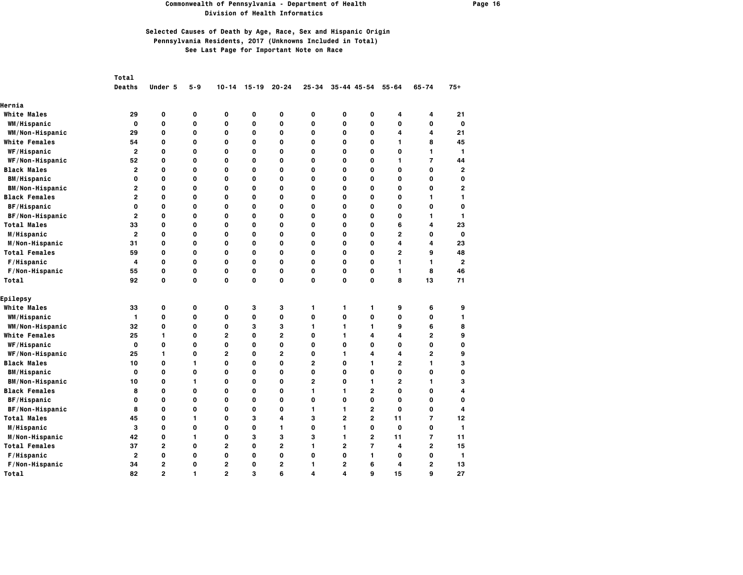### **Commonwealth of Pennsylvania - Department of Health Page 16 Division of Health Informatics**

|                        | Total          |                |             |                |             |                |                |                |                     |                |                |                |
|------------------------|----------------|----------------|-------------|----------------|-------------|----------------|----------------|----------------|---------------------|----------------|----------------|----------------|
|                        | Deaths         | Under 5        | $5 - 9$     | $10 - 14$      | $15 - 19$   | $20 - 24$      | $25 - 34$      |                | $35 - 44$ $45 - 54$ | $55 - 64$      | $65 - 74$      | $75+$          |
| Hernia                 |                |                |             |                |             |                |                |                |                     |                |                |                |
| <b>White Males</b>     | 29             | 0              | 0           | 0              | 0           | 0              | $\mathbf{o}$   | 0              | 0                   | 4              | 4              | 21             |
| WM/Hispanic            | O              | 0              | O           | 0              | O           | 0              | $\mathbf{o}$   | 0              | O                   | $\mathbf{o}$   | $\mathbf 0$    | $\mathbf 0$    |
| WM/Non-Hispanic        | 29             | 0              | $\mathbf 0$ | 0              | $\mathbf 0$ | 0              | $\mathbf{o}$   | 0              | 0                   | 4              | 4              | 21             |
| <b>White Females</b>   | 54             | 0              | $\mathbf 0$ | 0              | $\mathbf 0$ | 0              | $\mathbf{o}$   | 0              | O                   | 1              | 8              | 45             |
| WF/Hispanic            | $\mathbf{2}$   | 0              | O           | 0              | O           | 0              | $\mathbf{o}$   | 0              | O                   | $\mathbf{o}$   | 1              | $\mathbf{1}$   |
| WF/Non-Hispanic        | 52             | 0              | 0           | 0              | 0           | 0              | 0              | 0              | 0                   | 1              | $\overline{7}$ | 44             |
| <b>Black Males</b>     | $\mathbf{2}$   | 0              | $\mathbf 0$ | 0              | $\mathbf 0$ | 0              | $\mathbf{o}$   | 0              | 0                   | 0              | 0              | $\overline{2}$ |
| <b>BM/Hispanic</b>     | 0              | 0              | $\mathbf 0$ | 0              | $\mathbf 0$ | 0              | $\mathbf{o}$   | 0              | 0                   | 0              | 0              | $\mathbf 0$    |
| <b>BM/Non-Hispanic</b> | 2              | 0              | 0           | 0              | O           | 0              | 0              | 0              | 0                   | 0              | 0              | $\overline{2}$ |
| <b>Black Females</b>   | $\overline{2}$ | 0              | $\mathbf 0$ | 0              | $\mathbf 0$ | 0              | $\mathbf 0$    | 0              | $\mathbf 0$         | $\mathbf 0$    | 1              | 1              |
| BF/Hispanic            | 0              | 0              | O           | 0              | $\mathbf 0$ | 0              | $\mathbf{o}$   | 0              | 0                   | $\mathbf{o}$   | 0              | $\mathbf 0$    |
| BF/Non-Hispanic        | $\overline{2}$ | 0              | $\mathbf 0$ | 0              | $\mathbf 0$ | 0              | $\mathbf{o}$   | 0              | 0                   | 0              | 1              | 1              |
| <b>Total Males</b>     | 33             | 0              | $\mathbf 0$ | 0              | $\mathbf 0$ | 0              | $\mathbf{o}$   | 0              | $\mathbf 0$         | 6              | 4              | 23             |
| M/Hispanic             | $\mathbf{2}$   | 0              | 0           | 0              | O           | 0              | $\mathbf{o}$   | 0              | 0                   | $\mathbf{2}$   | 0              | $\mathbf 0$    |
| M/Non-Hispanic         | 31             | 0              | 0           | 0              | 0           | 0              | 0              | 0              | 0                   | 4              | 4              | 23             |
| <b>Total Females</b>   | 59             | 0              | $\mathbf 0$ | 0              | $\mathbf 0$ | 0              | $\mathbf{o}$   | 0              | O                   | $\mathbf{2}$   | 9              | 48             |
| F/Hispanic             | 4              | 0              | O           | 0              | O           | 0              | $\mathbf{o}$   | 0              | O                   | $\mathbf{1}$   | 1              | $\overline{2}$ |
| F/Non-Hispanic         | 55             | 0              | O           | 0              | 0           | 0              | $\mathbf{o}$   | 0              | 0                   | 1              | 8              | 46             |
| Total                  | 92             | 0              | $\mathbf 0$ | 0              | $\mathbf 0$ | $\mathbf 0$    | $\mathbf 0$    | 0              | $\mathbf{o}$        | 8              | 13             | 71             |
| Epilepsy               |                |                |             |                |             |                |                |                |                     |                |                |                |
| <b>White Males</b>     | 33             | 0              | 0           | 0              | з           | З              | 1              | 1              | 1                   | 9              | 6              | 9              |
| WM/Hispanic            | $\mathbf{1}$   | 0              | 0           | 0              | $\mathbf 0$ | 0              | $\mathbf{o}$   | 0              | O                   | $\mathbf{o}$   | 0              | 1              |
| WM/Non-Hispanic        | 32             | 0              | 0           | 0              | з           | з              | 1              | 1              | 1                   | 9              | 6              | 8              |
| <b>White Females</b>   | 25             | 1              | O           | 2              | O           | $\overline{2}$ | $\mathbf{o}$   | 1              | 4                   | 4              | 2              | 9              |
| WF/Hispanic            | O              | O              | O           | 0              | $\mathbf 0$ | 0              | $\mathbf{o}$   | 0              | O                   | $\mathbf{o}$   | O              | $\mathbf 0$    |
| WF/Non-Hispanic        | 25             | 1              | O           | 2              | $\mathbf 0$ | $\overline{2}$ | $\mathbf{o}$   | 1              | 4                   | 4              | 2              | 9              |
| <b>Black Males</b>     | 10             | 0              | 1           | 0              | $\mathbf 0$ | 0              | $\overline{2}$ | 0              | 1                   | $\overline{2}$ | 1              | 3              |
| <b>BM/Hispanic</b>     | 0              | 0              | O           | 0              | O           | 0              | $\mathbf{o}$   | 0              | O                   | $\mathbf{o}$   | O              | 0              |
| <b>BM/Non-Hispanic</b> | 10             | 0              | 1           | 0              | 0           | 0              | $\overline{2}$ | 0              | 1                   | $\overline{2}$ | 1              | 3              |
| <b>Black Females</b>   | 8              | 0              | $\mathbf 0$ | 0              | $\mathbf 0$ | 0              | $\mathbf{1}$   | 1              | $\overline{2}$      | 0              | 0              | 4              |
| BF/Hispanic            | 0              | $\Omega$       | 0           | 0              | O           | 0              | $\mathbf{o}$   | 0              | O                   | 0              | 0              | $\mathbf 0$    |
| BF/Non-Hispanic        | 8              | O              | $\mathbf 0$ | 0              | 0           | 0              | $\mathbf{1}$   | 1              | $\mathbf{2}$        | $\mathbf 0$    | 0              | 4              |
| <b>Total Males</b>     | 45             | O              | 1           | O              | 3           | 4              | 3              | $\overline{2}$ | $\overline{2}$      | 11             | $\overline{7}$ | 12             |
| M/Hispanic             | 3              | 0              | O           | 0              | O           | 1.             | $\mathbf{o}$   | 1              | O                   | $\mathbf{o}$   | O              | 1              |
| M/Non-Hispanic         | 42             | 0              | 1           | 0              | 3           | 3              | 3              | 1              | $\overline{2}$      | 11             | $\overline{7}$ | 11             |
| <b>Total Females</b>   | 37             | $\overline{2}$ | $\mathbf 0$ | 2              | $\mathbf 0$ | $\overline{2}$ | 1              | $\overline{2}$ | $\overline{7}$      | 4              | $\overline{2}$ | 15             |
| F/Hispanic             | $\mathbf{2}$   | 0              | O           | O              | O           | 0              | $\mathbf{o}$   | 0              | 1                   | $\mathbf{o}$   | O              | 1              |
| F/Non-Hispanic         | 34             | $\overline{2}$ | 0           | 2              | 0           | $\mathbf{2}$   | 1              | 2              | 6                   | 4              | $\mathbf{2}$   | 13             |
| Total                  | 82             | $\overline{2}$ | 1           | $\overline{2}$ | 3           | 6              | 4              | 4              | 9                   | 15             | 9              | 27             |